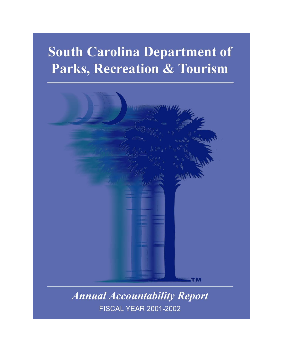# **South Carolina Department of Parks, Recreation & Tourism**



**Annual Accountability Report FISCAL YEAR 2001-2002**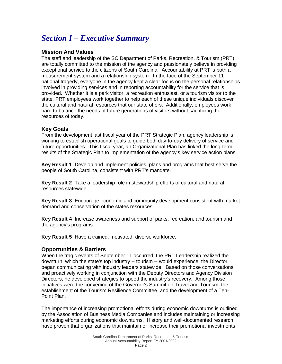# *Section I – Executive Summary*

#### **Mission And Values**

The staff and leadership of the SC Department of Parks, Recreation, & Tourism (PRT) are totally committed to the mission of the agency and passionately believe in providing exceptional service to the citizens of South Carolina. Accountability at PRT is both a measurement system and a relationship system. In the face of the September 11 national tragedy, everyone in the agency kept a clear focus on the personal relationships involved in providing services and in reporting accountability for the service that is provided. Whether it is a park visitor, a recreation enthusiast, or a tourism visitor to the state, PRT employees work together to help each of these unique individuals discover the cultural and natural resources that our state offers. Additionally, employees work hard to balance the needs of future generations of visitors without sacrificing the resources of today.

#### **Key Goals**

From the development last fiscal year of the PRT Strategic Plan, agency leadership is working to establish operational goals to guide both day-to-day delivery of service and future opportunities. This fiscal year, an Organizational Plan has linked the long-term results of the Strategic Plan to implementation of the agency's key service action plans.

**Key Result 1** Develop and implement policies, plans and programs that best serve the people of South Carolina, consistent with PRT's mandate.

**Key Result 2** Take a leadership role in stewardship efforts of cultural and natural resources statewide.

**Key Result 3** Encourage economic and community development consistent with market demand and conservation of the states resources.

**Key Result 4** Increase awareness and support of parks, recreation, and tourism and the agency's programs.

**Key Result 5** Have a trained, motivated, diverse workforce.

#### **Opportunities & Barriers**

When the tragic events of September 11 occurred, the PRT Leadership realized the downturn, which the state's top industry -- tourism -- would experience; the Director began communicating with industry leaders statewide. Based on those conversations, and proactively working in conjunction with the Deputy Directors and Agency Division Directors, he developed strategies to speed the industry's recovery. Among those initiatives were the convening of the Governor's Summit on Travel and Tourism, the establishment of the Tourism Resilience Committee, and the development of a Ten-Point Plan.

The importance of increasing promotional efforts during economic downturns is outlined by the Association of Business Media Companies and includes maintaining or increasing marketing efforts during economic downturns. History and well-documented research have proven that organizations that maintain or increase their promotional investments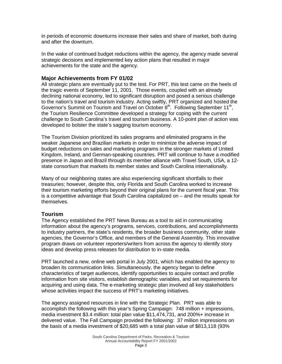in periods of economic downturns increase their sales and share of market, both during and after the downturn.

In the wake of continued budget reductions within the agency, the agency made several strategic decisions and implemented key action plans that resulted in major achievements for the state and the agency.

# **Major Achievements from FY 01/02**

All strategic plans are eventually put to the test. For PRT, this test came on the heels of the tragic events of September 11, 2001. Those events, coupled with an already declining national economy, led to significant disruption and posed a serious challenge to the nation's travel and tourism industry. Acting swiftly, PRT organized and hosted the Governor's Summit on Tourism and Travel on October  $8<sup>th</sup>$ . Following September 11<sup>th</sup>, the Tourism Resilience Committee developed a strategy for coping with the current challenge to South Carolina's travel and tourism business. A 10-point plan of action was developed to bolster the state's sagging tourism economy.

The Tourism Division prioritized its sales programs and eliminated programs in the weaker Japanese and Brazilian markets in order to minimize the adverse impact of budget reductions on sales and marketing programs in the stronger markets of United Kingdom, Ireland, and German-speaking countries. PRT will continue to have a modified presence in Japan and Brazil through its member alliance with Travel South, USA, a 12 state consortium that markets its member states and South Carolina internationally.

Many of our neighboring states are also experiencing significant shortfalls to their treasuries; however, despite this, only Florida and South Carolina worked to increase their tourism marketing efforts beyond their original plans for the current fiscal year. This is a competitive advantage that South Carolina capitalized on – and the results speak for themselves.

#### **Tourism**

The Agency established the PRT News Bureau as a tool to aid in communicating information about the agency's programs, services, contributions, and accomplishments to industry partners, the state's residents, the broader business community, other state agencies, the Governor's Office, and members of the General Assembly. This innovative program draws on volunteer reporters/writers from across the agency to identify story ideas and develop press releases for distribution to in-state media.

PRT launched a new, online web portal in July 2001, which has enabled the agency to broaden its communication links. Simultaneously, the agency began to define characteristics of target audiences, identify opportunities to acquire contact and profile information from site visitors, establish demographic variables, and set requirements for acquiring and using data. The e-marketing strategic plan involved all key stakeholders whose activities impact the success of PRT's marketing initiatives.

The agency assigned resources in line with the Strategic Plan. PRT was able to accomplish the following with this year's Spring Campaign: 748 million + impressions, media investment \$3.4 million: total plan value \$11,474,731, and 200%+ increase in delivered value. The Fall Campaign provided the following: 37 million impressions on the basis of a media investment of \$20,685 with a total plan value of \$813,118 (93%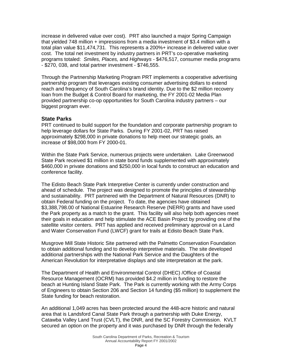increase in delivered value over cost). PRT also launched a major Spring Campaign that yielded 748 million + impressions from a media investment of \$3.4 million with a total plan value \$11,474,731. This represents a 200%+ increase in delivered value over cost. The total net investment by industry partners in PRT's co-operative marketing programs totaled: *Smiles, Places,* and *Highways -* \$476,517, consumer media programs - \$270, 038, and total partner investment - \$746,555.

Through the Partnership Marketing Program PRT implements a cooperative advertising partnership program that leverages existing consumer advertising dollars to extend reach and frequency of South Carolina's brand identity. Due to the \$2 million recovery loan from the Budget & Control Board for marketing, the FY 2001-02 Media Plan provided partnership co-op opportunities for South Carolina industry partners – our biggest program ever.

# **State Parks**

PRT continued to build support for the foundation and corporate partnership program to help leverage dollars for State Parks. During FY 2001-02, PRT has raised approximately \$298,000 in private donations to help meet our strategic goals, an increase of \$98,000 from FY 2000-01.

Within the State Park Service, numerous projects were undertaken. Lake Greenwood State Park received \$1 million in state bond funds supplemented with approximately \$460,000 in private donations and \$250,000 in local funds to construct an education and conference facility.

The Edisto Beach State Park Interpretive Center is currently under construction and ahead of schedule. The project was designed to promote the principles of stewardship and sustainability. PRT partnered with the Department of Natural Resources (DNR) to obtain Federal funding on the project. To date, the agencies have obtained \$3,388,798.00 of National Estuarine Research Reserve (NERR) grants and have used the Park property as a match to the grant. This facility will also help both agencies meet their goals in education and help stimulate the ACE Basin Project by providing one of the satellite visitor centers. PRT has applied and received preliminary approval on a Land and Water Conservation Fund (LWCF) grant for trails at Edisto Beach State Park.

Musgrove Mill State Historic Site partnered with the Palmetto Conservation Foundation to obtain additional funding and to develop interpretive materials. The site developed additional partnerships with the National Park Service and the Daughters of the American Revolution for interpretative displays and site interpretation at the park.

The Department of Health and Environmental Control (DHEC) /Office of Coastal Resource Management (OCRM) has provided \$4.2 million in funding to restore the beach at Hunting Island State Park. The Park is currently working with the Army Corps of Engineers to obtain Section 206 and Section 14 funding (\$5 million) to supplement the State funding for beach restoration.

An additional 1,049 acres has been protected around the 448-acre historic and natural area that is Landsford Canal State Park through a partnership with Duke Energy, Catawba Valley Land Trust (CVLT), the DNR, and the SC Forestry Commission. KVLT secured an option on the property and it was purchased by DNR through the federally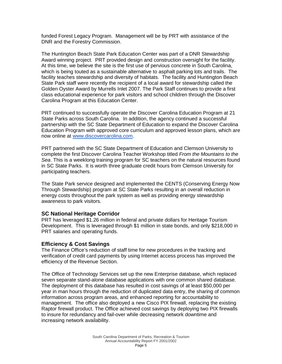funded Forest Legacy Program. Management will be by PRT with assistance of the DNR and the Forestry Commission.

The Huntington Beach State Park Education Center was part of a DNR Stewardship Award winning project. PRT provided design and construction oversight for the facility. At this time, we believe the site is the first use of pervious concrete in South Carolina, which is being touted as a sustainable alternative to asphalt parking lots and trails. The facility teaches stewardship and diversity of habitats. The facility and Huntington Beach State Park staff were recently the recipient of a local award for stewardship called the Golden Oyster Award by Murrells Inlet 2007. The Park Staff continues to provide a first class educational experience for park visitors and school children through the Discover Carolina Program at this Education Center.

PRT continued to successfully operate the Discover Carolina Education Program at 21 State Parks across South Carolina. In addition, the agency continued a successful partnership with the SC State Department of Education to expand the Discover Carolina Education Program with approved core curriculum and approved lesson plans, which are now online at www.discovercarolina.com.

PRT partnered with the SC State Department of Education and Clemson University to complete the first Discover Carolina Teacher Workshop titled *From the Mountains to the Sea*. This is a weeklong training program for SC teachers on the natural resources found in SC State Parks. It is worth three graduate credit hours from Clemson University for participating teachers.

The State Park service designed and implemented the CENTS (Conserving Energy Now Through Stewardship) program at SC State Parks resulting in an overall reduction in energy costs throughout the park system as well as providing energy stewardship awareness to park visitors.

#### **SC National Heritage Corridor**

PRT has leveraged \$1.26 million in federal and private dollars for Heritage Tourism Development. This is leveraged through \$1 million in state bonds, and only \$218,000 in PRT salaries and operating funds.

#### **Efficiency & Cost Savings**

The Finance Office's reduction of staff time for new procedures in the tracking and verification of credit card payments by using Internet access process has improved the efficiency of the Revenue Section.

The Office of Technology Services set up the new Enterprise database, which replaced seven separate stand-alone database applications with one common shared database. The deployment of this database has resulted in cost savings of at least \$50,000 per year in man hours through the reduction of duplicated data entry, the sharing of common information across program areas, and enhanced reporting for accountability to management. The office also deployed a new Cisco PIX firewall, replacing the existing Raptor firewall product. The Office achieved cost savings by deploying two PIX firewalls to insure for redundancy and fail-over while decreasing network downtime and increasing network availability.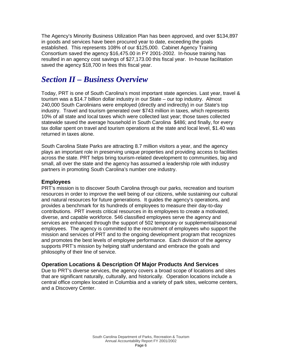The Agency's Minority Business Utilization Plan has been approved, and over \$134,897 in goods and services have been procured year to date, exceeding the goals established. This represents 108% of our \$125,000. Cabinet Agency Training Consortium saved the agency \$16,475.00 in FY 2001-2002. In-house training has resulted in an agency cost savings of \$27,173.00 this fiscal year. In-house facilitation saved the agency \$18,700 in fees this fiscal year.

# *Section II – Business Overview*

Today, PRT is one of South Carolina's most important state agencies. Last year, travel & tourism was a \$14.7 billion dollar industry in our State – our top industry. Almost 240,000 South Carolinians were employed (directly and indirectly) in our State's top industry. Travel and tourism generated over \$743 million in taxes, which represents 10% of all state and local taxes which were collected last year; those taxes collected statewide saved the average household in South Carolina \$486; and finally, for every tax dollar spent on travel and tourism operations at the state and local level, \$1.40 was returned in taxes alone.

South Carolina State Parks are attracting 8.7 million visitors a year, and the agency plays an important role in preserving unique properties and providing access to facilities across the state. PRT helps bring tourism-related development to communities, big and small, all over the state and the agency has assumed a leadership role with industry partners in promoting South Carolina's number one industry.

#### **Employees**

PRT's mission is to discover South Carolina through our parks, recreation and tourism resources in order to improve the well being of our citizens, while sustaining our cultural and natural resources for future generations. It guides the agency's operations, and provides a benchmark for its hundreds of employees to measure their day-to-day contributions. PRT invests critical resources in its employees to create a motivated, diverse, and capable workforce. 546 classified employees serve the agency and services are enhanced through the support of 502 temporary or supplemental/seasonal employees. The agency is committed to the recruitment of employees who support the mission and services of PRT and to the ongoing development program that recognizes and promotes the best levels of employee performance. Each division of the agency supports PRT's mission by helping staff understand and embrace the goals and philosophy of their line of service.

# **Operation Locations & Description Of Major Products And Services**

Due to PRT's diverse services, the agency covers a broad scope of locations and sites that are significant naturally, culturally, and historically. Operation locations include a central office complex located in Columbia and a variety of park sites, welcome centers, and a Discovery Center.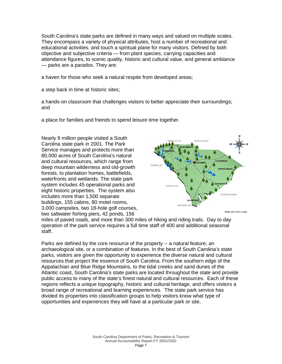South Carolina's state parks are defined in many ways and valued on multiple scales. They encompass a variety of physical attributes, host a number of recreational and educational activities, and touch a spiritual plane for many visitors. Defined by both objective and subjective criteria — from plant species, carrying capacities and attendance figures, to scenic quality, historic and cultural value, and general ambiance — parks are a paradox. They are:

a haven for those who seek a natural respite from developed areas;

a step back in time at historic sites;

a hands-on classroom that challenges visitors to better appreciate their surroundings; and

a place for families and friends to spend leisure time together.

Nearly 9 million people visited a South Carolina state park in 2001. The Park Service manages and protects more than 80,000 acres of South Carolina's natural and cultural resources, which range from deep mountain wilderness and old-growth forests, to plantation homes, battlefields, waterfronts and wetlands. The state park system includes 45 operational parks and eight historic properties. The system also includes more than 1,500 separate buildings, 155 cabins, 80 motel rooms, 3,000 campsites, two 18-hole golf courses, two saltwater fishing piers, 42 ponds, 156



Maps are not to scale.

miles of paved roads, and more than 300 miles of hiking and riding trails. Day to day operation of the park service requires a full time staff of 400 and additional seasonal staff.

Parks are defined by the core resource of the property -- a natural feature, an archaeological site, or a combination of features. In the best of South Carolina's state parks, visitors are given the opportunity to experience the diverse natural and cultural resources that project the essence of South Carolina. From the southern edge of the Appalachian and Blue Ridge Mountains, to the tidal creeks and sand dunes of the Atlantic coast, South Carolina's state parks are located throughout the state and provide public access to many of the state's finest natural and cultural resources. Each of these regions reflects a unique topography, historic and cultural heritage, and offers visitors a broad range of recreational and learning experiences. The state park service has divided its properties into classification groups to help visitors know what type of opportunities and experiences they will have at a particular park or site.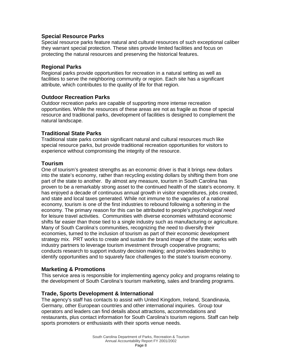# **Special Resource Parks**

Special resource parks feature natural and cultural resources of such exceptional caliber they warrant special protection. These sites provide limited facilities and focus on protecting the natural resources and preserving the historical features.

#### **Regional Parks**

Regional parks provide opportunities for recreation in a natural setting as well as facilities to serve the neighboring community or region. Each site has a significant attribute, which contributes to the quality of life for that region.

#### **Outdoor Recreation Parks**

Outdoor recreation parks are capable of supporting more intense recreation opportunities. While the resources of these areas are not as fragile as those of special resource and traditional parks, development of facilities is designed to complement the natural landscape.

# **Traditional State Parks**

Traditional state parks contain significant natural and cultural resources much like special resource parks, but provide traditional recreation opportunities for visitors to experience without compromising the integrity of the resource.

#### **Tourism**

One of tourism's greatest strengths as an economic driver is that it brings new dollars into the state's economy, rather than recycling existing dollars by shifting them from one part of the state to another. By almost any measure, tourism in South Carolina has proven to be a remarkably strong asset to the continued health of the state's economy. It has enjoyed a decade of continuous annual growth in visitor expenditures, jobs created, and state and local taxes generated. While not immune to the vagaries of a national economy, tourism is one of the first industries to rebound following a softening in the economy. The primary reason for this can be attributed to people's *psychological need*  for leisure travel activities. Communities with diverse economies withstand economic shifts far easier than those tied to a single industry such as manufacturing or agriculture. Many of South Carolina's communities, recognizing the need to diversify their economies, turned to the inclusion of tourism as part of their economic development strategy mix. PRT works to create and sustain the brand image of the state; works with industry partners to leverage tourism investment through cooperative programs; conducts research to support industry decision making; and provides leadership to identify opportunities and to squarely face challenges to the state's tourism economy.

# **Marketing & Promotions**

This service area is responsible for implementing agency policy and programs relating to the development of South Carolina's tourism marketing, sales and branding programs.

#### **Trade, Sports Development & International**

The agency's staff has contacts to assist with United Kingdom, Ireland, Scandinavia, Germany, other European countries and other international inquiries. Group tour operators and leaders can find details about attractions, accommodations and restaurants, plus contact information for South Carolina's tourism regions. Staff can help sports promoters or enthusiasts with their sports venue needs.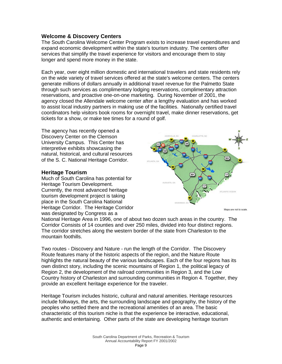# **Welcome & Discovery Centers**

The South Carolina Welcome Center Program exists to increase travel expenditures and expand economic development within the state's tourism industry. The centers offer services that simplify the travel experience for visitors and encourage them to stay longer and spend more money in the state.

Each year, over eight million domestic and international travelers and state residents rely on the wide variety of travel services offered at the state's welcome centers. The centers generate millions of dollars annually in additional travel revenue for the Palmetto State through such services as complimentary lodging reservations, complimentary attraction reservations, and proactive one-on-one marketing. During November of 2001, the agency closed the Allendale welcome center after a lengthy evaluation and has worked to assist local industry partners in making use of the facilities. Nationally certified travel coordinators help visitors book rooms for overnight travel, make dinner reservations, get tickets for a show, or make tee times for a round of golf.

The agency has recently opened a Discovery Center on the Clemson University Campus. This Center has interpretive exhibits showcasing the natural, historical, and cultural resources of the S. C. National Heritage Corridor.

# **Heritage Tourism**

Much of South Carolina has potential for Heritage Tourism Development. Currently, the most advanced heritage tourism development project is taking place in the South Carolina National Heritage Corridor. The Heritage Corridor was designated by Congress as a



Mans are not to scale

National Heritage Area in 1996, one of about two dozen such areas in the country. The Corridor Consists of 14 counties and over 250 miles, divided into four distinct regions. The corridor stretches along the western border of the state from Charleston to the mountain foothills.

Two routes - Discovery and Nature - run the length of the Corridor. The Discovery Route features many of the historic aspects of the region, and the Nature Route highlights the natural beauty of the various landscapes. Each of the four regions has its own distinct story, including the scenic mountains of Region 1, the political legacy of Region 2, the development of the railroad communities in Region 3, and the Low Country history of Charleston and surrounding communities in Region 4. Together, they provide an excellent heritage experience for the traveler.

Heritage Tourism includes historic, cultural and natural amenities. Heritage resources include folkways, the arts, the surrounding landscape and geography, the history of the peoples who settled there and the recreational amenities of an area. The basic characteristic of this tourism niche is that the experience be interactive, educational, authentic and entertaining. Other parts of the state are developing heritage tourism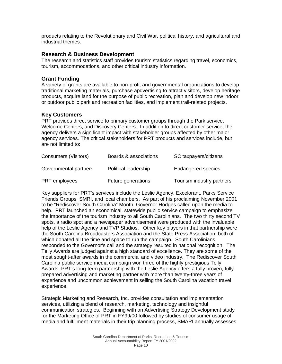products relating to the Revolutionary and Civil War, political history, and agricultural and industrial themes.

#### **Research & Business Development**

The research and statistics staff provides tourism statistics regarding travel, economics, tourism, accommodations, and other critical industry information.

# **Grant Funding**

A variety of grants are available to non-profit and governmental organizations to develop traditional marketing materials, purchase apdvertising to attract visitors, develop heritage products, acquire land for the purpose of public recreation, plan and develop new indoor or outdoor public park and recreation facilities, and implement trail-related projects.

#### **Key Customers**

PRT provides direct service to primary customer groups through the Park service, Welcome Centers, and Discovery Centers. In addition to direct customer service, the agency delivers a significant impact with stakeholder groups affected by other major agency services. The critical stakeholders for PRT products and services include, but are not limited to:

| Consumers (Visitors)  | Boards & associations | SC taxpayers/citizens     |
|-----------------------|-----------------------|---------------------------|
| Governmental partners | Political leadership  | Endangered species        |
| <b>PRT</b> employees  | Future generations    | Tourism industry partners |

Key suppliers for PRT's services include the Leslie Agency, Excelorant, Parks Service Friends Groups, SMRI, and local chambers. As part of his proclaiming November 2001 to be "Rediscover South Carolina" Month, Governor Hodges called upon the media to help. PRT launched an economical, statewide public service campaign to emphasize the importance of the tourism industry to all South Carolinians. The two thirty second TV spots, a radio spot and a newspaper advertisement were produced with the invaluable help of the Leslie Agency and TVP Studios. Other key players in that partnership were the South Carolina Broadcasters Association and the State Press Association, both of which donated all the time and space to run the campaign. South Carolinians responded to the Governor's call and the strategy resulted in national recognition. The Telly Awards are judged against a high standard of excellence. They are some of the most sought-after awards in the commercial and video industry. The Rediscover South Carolina public service media campaign won three of the highly prestigious Telly Awards. PRT's long-term partnership with the Leslie Agency offers a fully proven, fullyprepared advertising and marketing partner with more than twenty-three years of experience and uncommon achievement in selling the South Carolina vacation travel experience.

Strategic Marketing and Research, Inc. provides consultation and implementation services, utilizing a blend of research, marketing, technology and insightful communication strategies. Beginning with an Advertising Strategy Development study for the Marketing Office of PRT in FY99/00 followed by studies of consumer usage of media and fulfillment materials in their trip planning process, SMARI annually assesses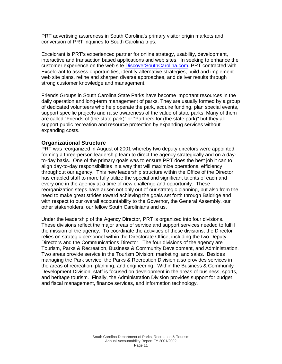PRT advertising awareness in South Carolina's primary visitor origin markets and conversion of PRT inquiries to South Carolina trips.

Excelorant is PRT's experienced partner for online strategy, usability, development, interactive and transaction based applications and web sites. In seeking to enhance the customer experience on the web site **DiscoverSouthCarolina.com**, PRT contracted with Excelorant to assess opportunities, identify alternative strategies, build and implement web site plans, refine and sharpen diverse approaches, and deliver results through strong customer knowledge and management.

Friends Groups in South Carolina State Parks have become important resources in the daily operation and long-term management of parks. They are usually formed by a group of dedicated volunteers who help operate the park, acquire funding, plan special events, support specific projects and raise awareness of the value of state parks. Many of them are called "Friends of (the state park)" or "Partners for (the state park)" but they all support public recreation and resource protection by expanding services without expanding costs.

#### **Organizational Structure**

PRT was reorganized in August of 2001 whereby two deputy directors were appointed, forming a three-person leadership team to direct the agency strategically and on a dayto-day basis. One of the primary goals was to ensure PRT does the best job it can to align day-to-day responsibilities in a way that will maximize operational efficiency throughout our agency. This new leadership structure within the Office of the Director has enabled staff to more fully utilize the special and significant talents of each and every one in the agency at a time of new challenge and opportunity. These reorganization steps have arisen not only out of our strategic planning, but also from the need to make great strides toward achieving the goals set forth through Baldrige and with respect to our overall accountability to the Governor, the General Assembly, our other stakeholders, our fellow South Carolinians and us.

Under the leadership of the Agency Director, PRT is organized into four divisions. These divisions reflect the major areas of service and support services needed to fulfill the mission of the agency. To coordinate the activities of these divisions, the Director relies on strategic personnel within the Directorate Office, including the two Deputy Directors and the Communications Director. The four divisions of the agency are Tourism, Parks & Recreation, Business & Community Development, and Administration. Two areas provide service in the Tourism Division: marketing, and sales. Besides managing the Park service, the Parks & Recreation Division also provides services in the areas of recreation, planning, and engineering. Within the Business & Community Development Division, staff is focused on development in the areas of business, sports, and heritage tourism. Finally, the Administration Division provides support for budget and fiscal management, finance services, and information technology.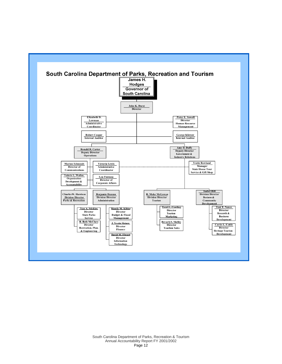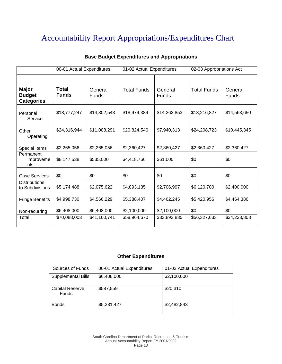# Accountability Report Appropriations/Expenditures Chart

|                                                    | 00-01 Actual Expenditures    |                         | 01-02 Actual Expenditures |                  | 02-03 Appropriations Act |                         |
|----------------------------------------------------|------------------------------|-------------------------|---------------------------|------------------|--------------------------|-------------------------|
| <b>Major</b><br><b>Budget</b><br><b>Categories</b> | <b>Total</b><br><b>Funds</b> | General<br><b>Funds</b> | <b>Total Funds</b>        | General<br>Funds | <b>Total Funds</b>       | General<br><b>Funds</b> |
| Personal<br>Service                                | \$18,777,247                 | \$14,302,543            | \$18,979,389              | \$14,262,853     | \$18,216,827             | \$14,563,650            |
| Other<br>Operating                                 | \$24,316,944                 | \$11,008,291            | \$20,824,546              | \$7,940,313      | \$24,208,723             | \$10,445,345            |
| Special Items                                      | \$2,265,056                  | \$2,265,056             | \$2,360,427               | \$2,360,427      | \$2,360,427              | \$2,360,427             |
| Permanent<br>Improveme<br>nts                      | \$8,147,538                  | \$535,000               | \$4,418,766               | \$61,000         | \$0                      | \$0                     |
| <b>Case Services</b>                               | \$0                          | \$0                     | \$0                       | \$0              | \$0                      | \$0                     |
| <b>Distributions</b><br>to Subdivisions            | \$5,174,488                  | \$2,075,622             | \$4,893,135               | \$2,706,997      | \$6,120,700              | \$2,400,000             |
| <b>Fringe Benefits</b>                             | \$4,998,730                  | \$4,566,229             | \$5,388,407               | \$4,462,245      | \$5,420,956              | \$4,464,386             |
| Non-recurring                                      | \$6,408,000                  | \$6,408,000             | \$2,100,000               | \$2,100,000      | \$0                      | \$0                     |
| Total                                              | \$70,088,003                 | \$41,160,741            | \$58,964,670              | \$33,893,835     | \$56,327,633             | \$34,233,808            |

# **Base Budget Expenditures and Appropriations**

# **Other Expenditures**

| Sources of Funds                | 00-01 Actual Expenditures | 01-02 Actual Expenditures |
|---------------------------------|---------------------------|---------------------------|
| Supplemental Bills              | \$6,408,000               | \$2,100,000               |
| Capital Reserve<br><b>Funds</b> | \$587,559                 | \$20,310                  |
| <b>Bonds</b>                    | \$5,281,427               | \$2,482,843               |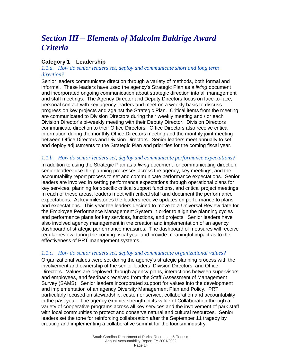# *Section III – Elements of Malcolm Baldrige Award Criteria*

# **Category 1 – Leadership**

# *1.1.a. How do senior leaders set, deploy and communicate short and long term direction?*

Senior leaders communicate direction through a variety of methods, both formal and informal. These leaders have used the agency's Strategic Plan as a *living* document and incorporated ongoing communication about strategic direction into all management and staff meetings. The Agency Director and Deputy Directors focus on face-to-face, personal contact with key agency leaders and meet on a weekly basis to discuss progress on key projects and against the Strategic Plan. Critical items from the meeting are communicated to Division Directors during their weekly meeting and / or each Division Director's bi-weekly meeting with their Deputy Director. Division Directors communicate direction to their Office Directors. Office Directors also receive critical information during the monthly Office Directors meeting and the monthly joint meeting between Office Directors and Division Directors. Senior leaders meet annually to set and deploy adjustments to the Strategic Plan and priorities for the coming fiscal year.

# *1.1.b. How do senior leaders set, deploy and communicate performance expectations?*

In addition to using the Strategic Plan as a *living* document for communicating direction, senior leaders use the planning processes across the agency, key meetings, and the accountability report process to set and communicate performance expectations. Senior leaders are involved in setting performance expectations through operational plans for key services, planning for specific critical support functions, and critical project meetings. In each of these areas, leaders meet with critical staff and document the performance expectations. At key milestones the leaders receive updates on performance to plans and expectations. This year the leaders decided to move to a Universal Review date for the Employee Performance Management System in order to align the planning cycles and performance plans for key services, functions, and projects. Senior leaders have also involved agency management in the creation and implementation of an agency dashboard of strategic performance measures. The dashboard of measures will receive regular review during the coming fiscal year and provide meaningful impact as to the effectiveness of PRT management systems.

#### *1.1.c. How do senior leaders set, deploy and communicate organizational values?*

Organizational values were set during the agency's strategic planning process with the involvement and ownership of the senior leaders, Division Directors, and Office Directors. Values are deployed through agency plans, interactions between supervisors and employees, and feedback received from the Staff Assessment of Management Survey (SAMS). Senior leaders incorporated support for values into the development and implementation of an agency Diversity Management Plan and Policy. PRT particularly focused on stewardship, customer service, collaboration and accountability in the past year. The agency exhibits strength in its value of Collaboration through a variety of cooperative programs across all key services and the involvement of park staff with local communities to protect and conserve natural and cultural resources. Senior leaders set the tone for reinforcing collaboration after the September 11 tragedy by creating and implementing a collaborative summit for the tourism industry.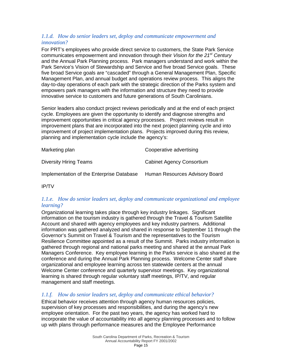# *1.1.d. How do senior leaders set, deploy and communicate empowerment and innovation?*

For PRT's employees who provide direct service to customers, the State Park Service communicates empowerment and innovation through their *Vision for the 21st Century* and the Annual Park Planning process. Park managers understand and work within the Park Service's Vision of Stewardship and Service and five broad Service goals. These five broad Service goals are "cascaded" through a General Management Plan, Specific Management Plan, and annual budget and operations review process. This aligns the day-to-day operations of each park with the strategic direction of the Parks system and empowers park managers with the information and structure they need to provide innovative service to customers and future generations of South Carolinians.

Senior leaders also conduct project reviews periodically and at the end of each project cycle. Employees are given the opportunity to identify and diagnose strengths and improvement opportunities in critical agency processes. Project reviews result in improvement plans that are incorporated into the next project planning cycle and into improvement of project implementation plans. Projects improved during this review, planning and implementation cycle include the agency's:

| Marketing plan                            | Cooperative advertising          |
|-------------------------------------------|----------------------------------|
| <b>Diversity Hiring Teams</b>             | <b>Cabinet Agency Consortium</b> |
| Implementation of the Enterprise Database | Human Resources Advisory Board   |

IP/TV

# *1.1.e. How do senior leaders set, deploy and communicate organizational and employee learning?*

Organizational learning takes place through key industry linkages. Significant information on the tourism industry is gathered through the Travel & Tourism Satellite Account and shared with agency employees and key industry partners. Additional information was gathered analyzed and shared in response to September 11 through the Governor's Summit on Travel & Tourism and the representatives to the Tourism Resilience Committee appointed as a result of the Summit. Parks industry information is gathered through regional and national parks meeting and shared at the annual Park Managers Conference. Key employee learning in the Parks service is also shared at the conference and during the Annual Park Planning process. Welcome Center staff share organizational and employee learning across ten statewide centers at the annual Welcome Center conference and quarterly supervisor meetings. Key organizational learning is shared through regular voluntary staff meetings, IP/TV, and regular management and staff meetings.

# *1.1.f. How do senior leaders set, deploy and communicate ethical behavior?*

Ethical behavior receives attention through agency human resources policies, supervision of key processes and responsibilities, and during the agency's new employee orientation. For the past two years, the agency has worked hard to incorporate the value of accountability into all agency planning processes and to follow up with plans through performance measures and the Employee Performance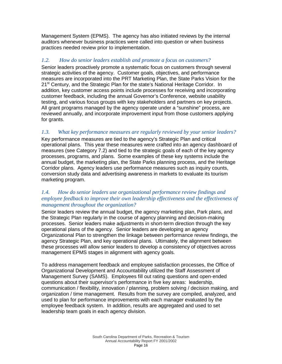Management System (EPMS). The agency has also initiated reviews by the internal auditors whenever business practices were called into question or when business practices needed review prior to implementation.

# *1.2. How do senior leaders establish and promote a focus on customers?*

Senior leaders proactively promote a systematic focus on customers through several strategic activities of the agency. Customer goals, objectives, and performance measures are incorporated into the PRT Marketing Plan, the State Parks Vision for the 21<sup>st</sup> Century, and the Strategic Plan for the state's National Heritage Corridor. In addition, key customer access points include processes for receiving and incorporating customer feedback, including the annual Governor's Conference, website usability testing, and various focus groups with key stakeholders and partners on key projects. All grant programs managed by the agency operate under a "sunshine" process, are reviewed annually, and incorporate improvement input from those customers applying for grants.

# *1.3. What key performance measures are regularly reviewed by your senior leaders?*

Key performance measures are tied to the agency's Strategic Plan and critical operational plans. This year these measures were crafted into an agency dashboard of measures (see Category 7.2) and tied to the strategic goals of each of the key agency processes, programs, and plans. Some examples of these key systems include the annual budget, the marketing plan, the State Parks planning process, and the Heritage Corridor plans. Agency leaders use performance measures such as inquiry counts, conversion study data and advertising awareness in markets to evaluate its tourism marketing program.

# *1.4. How do senior leaders use organizational performance review findings and employee feedback to improve their own leadership effectiveness and the effectiveness of management throughout the organization?*

Senior leaders review the annual budget, the agency marketing plan, Park plans, and the Strategic Plan regularly in the course of agency planning and decision-making processes. Senior leaders make adjustments in short-term direction through the key operational plans of the agency. Senior leaders are developing an agency Organizational Plan to strengthen the linkage between performance review findings, the agency Strategic Plan, and key operational plans. Ultimately, the alignment between these processes will allow senior leaders to develop a consistency of objectives across management EPMS stages in alignment with agency goals.

To address management feedback and employee satisfaction processes, the Office of Organizational Development and Accountability utilized the Staff Assessment of Management Survey (SAMS). Employees fill out rating questions and open-ended questions about their supervisor's performance in five key areas: leadership, communication / flexibility, innovation / planning, problem solving / decision making, and organization / time management. Results from the survey are compiled, analyzed, and used to plan for performance improvements with each manager evaluated by the employee feedback system. In addition, results are aggregated and used to set leadership team goals in each agency division.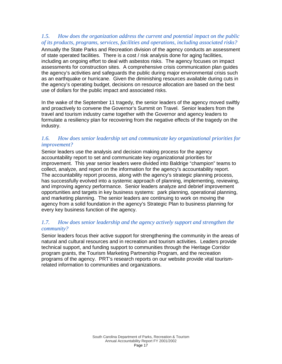#### *1.5. How does the organization address the current and potential impact on the public of its products, programs, services, facilities and operations, including associated risks?*

Annually the State Parks and Recreation division of the agency conducts an assessment of state operated facilities. There is a cost / risk analysis done for aging facilities, including an ongoing effort to deal with asbestos risks. The agency focuses on impact assessments for construction sites. A comprehensive crisis communication plan guides the agency's activities and safeguards the public during major environmental crisis such as an earthquake or hurricane. Given the diminishing resources available during cuts in the agency's operating budget, decisions on resource allocation are based on the best use of dollars for the public impact and associated risks.

In the wake of the September 11 tragedy, the senior leaders of the agency moved swiftly and proactively to convene the Governor's Summit on Travel. Senior leaders from the travel and tourism industry came together with the Governor and agency leaders to formulate a resiliency plan for recovering from the negative effects of the tragedy on the industry.

# *1.6. How does senior leadership set and communicate key organizational priorities for improvement?*

Senior leaders use the analysis and decision making process for the agency accountability report to set and communicate key organizational priorities for improvement. This year senior leaders were divided into Baldrige "champion" teams to collect, analyze, and report on the information for the agency's accountability report. The accountability report process, along with the agency's strategic planning process, has successfully evolved into a systemic approach of planning, implementing, reviewing, and improving agency performance. Senior leaders analyze and debrief improvement opportunities and targets in key business systems: park planning, operational planning, and marketing planning. The senior leaders are continuing to work on moving the agency from a solid foundation in the agency's Strategic Plan to business planning for every key business function of the agency.

# *1.7. How does senior leadership and the agency actively support and strengthen the community?*

Senior leaders focus their active support for strengthening the community in the areas of natural and cultural resources and in recreation and tourism activities. Leaders provide technical support, and funding support to communities through the Heritage Corridor program grants, the Tourism Marketing Partnership Program, and the recreation programs of the agency. PRT's research reports on our website provide vital tourismrelated information to communities and organizations.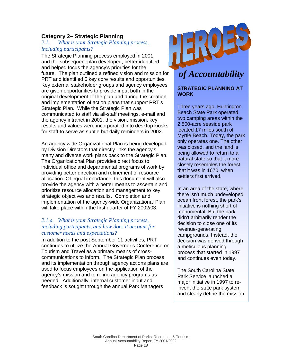# **Category 2– Strategic Planning**

#### *2.1. What is your Strategic Planning process, including participants?*

The Strategic Planning process employed in 2001 and the subsequent plan developed, better identified and helped focus the agency's priorities for the future. The plan outlined a refined vision and mission for PRT and identified 5 key core results and opportunities. Key external stakeholder groups and agency employees are given opportunities to provide input both in the original development of the plan and during the creation and implementation of action plans that support PRT's Strategic Plan. While the Strategic Plan was communicated to staff via all-staff meetings, e-mail and the agency intranet in 2001, the vision, mission, key results and values were incorporated into desktop kiosks for staff to serve as subtle but daily reminders in 2002.

An agency wide Organizational Plan is being developed by Division Directors that directly links the agency's many and diverse work plans back to the Strategic Plan. The Organizational Plan provides direct focus to individual office and departmental programs of work by providing better direction and refinement of resource allocation. Of equal importance, this document will also provide the agency with a better means to ascertain and prioritize resource allocation and management to key strategic objectives and results. Completion and implementation of the agency-wide Organizational Plan will take place within the first quarter of FY 2002/03.

#### *2.1.a. What is your Strategic Planning process, including participants, and how does it account for customer needs and expectations?*

In addition to the post September 11 activities, PRT continues to utilize the Annual Governor's Conference on Tourism and Travel as a primary means of crosscommunications to inform. The Strategic Plan process and its implementation through agency actions plans are used to focus employees on the application of the agency's mission and to refine agency programs as needed. Additionally, internal customer input and feedback is sought through the annual Park Managers



# *of Accountability*

#### **STRATEGIC PLANNING AT WORK**

Three years ago, Huntington Beach State Park operated two camping areas within the 2,500-acre seaside park located 17 miles south of Myrtle Beach. Today, the park only operates one. The other was closed, and the land is being allowed to return to a natural state so that it more closely resembles the forest that it was in 1670, when settlers first arrived.

In an area of the state, where there isn't much undeveloped ocean front forest, the park's initiative is nothing short of monumental. But the park didn't arbitrarily render the decision to close one of its revenue-generating campgrounds. Instead, the decision was derived through a meticulous planning process that started in 1997 and continues even today.

The South Carolina State Park Service launched a major initiative in 1997 to reinvent the state park system and clearly define the mission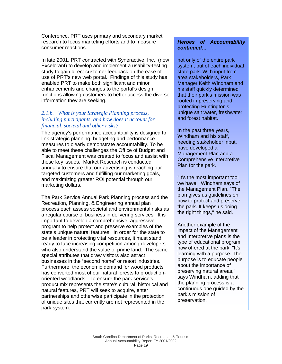Conference. PRT uses primary and secondary market research to focus marketing efforts and to measure consumer reactions.

In late 2001, PRT contracted with Syneractive, Inc., (now Excelorant) to develop and implement a usability-testing study to gain direct customer feedback on the ease of use of PRT's new web portal. Findings of this study has enabled PRT to make both significant and minor enhancements and changes to the portal's design functions allowing customers to better access the diverse information they are seeking.

# *2.1.b. What is your Strategic Planning process, including participants, and how does it account for financial, societal and other risks?*

The agency's performance accountability is designed to link strategic planning, budgeting and performance measures to clearly demonstrate accountability. To be able to meet these challenges the Office of Budget and Fiscal Management was created to focus and assist with these key issues. Market Research is conducted annually to ensure that our advertising is reaching our targeted customers and fulfilling our marketing goals, and maximizing greater ROI potential through our marketing dollars.

The Park Service Annual Park Planning process and the Recreation, Planning, & Engineering annual plan process each assess societal and environmental risks as a regular course of business in delivering services. It is important to develop a comprehensive, aggressive program to help protect and preserve examples of the state's unique natural features. In order for the state to be a leader in protecting vital resources, it must stand ready to face increasing competition among developers who also understand the value of prime land. The same special attributes that draw visitors also attract businesses in the "second home" or resort industries. Furthermore, the economic demand for wood products has converted most of our natural forests to productionoriented woodlands. To ensure the park service's product mix represents the state's cultural, historical and natural features, PRT will seek to acquire, enter partnerships and otherwise participate in the protection of unique sites that currently are not represented in the park system.

#### *Heroes of Accountability continued…*

not only of the entire park system, but of each individual state park. With input from area stakeholders, Park Manager Keith Windham and his staff quickly determined that their park's mission was rooted in preserving and protecting Huntington's unique salt water, freshwater and forest habitat.

In the past three years, Windham and his staff, heeding stakeholder input, have developed a Management Plan and a Comprehensive Interpretive Plan for the park.

"It's the most important tool we have," Windham says of the Management Plan. "The plan gives us guidelines on how to protect and preserve the park. It keeps us doing the right things," he said.

Another example of the impact of the Management and Interpretive plans is the type of educational program now offered at the park. "It's learning with a purpose. The purpose is to educate people about the importance of preserving natural areas," says Windham, adding that the planning process is a continuous one guided by the park's mission of preservation.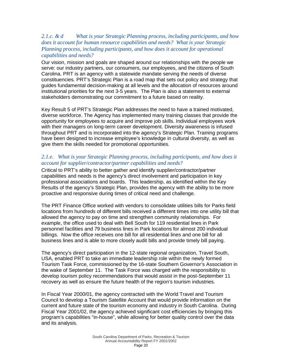#### *2.1.c. & d What is your Strategic Planning process, including participants, and how does it account for human resource capabilities and needs? What is your Strategic Planning process, including participants, and how does it account for operational capabilities and needs?*

Our vision, mission and goals are shaped around our relationships with the people we serve: our industry partners, our consumers, our employees, and the citizens of South Carolina. PRT is an agency with a statewide mandate serving the needs of diverse constituencies. PRT's Strategic Plan is a road map that sets out policy and strategy that guides fundamental decision-making at all levels and the allocation of resources around institutional priorities for the next 3-5 years. The Plan is also a statement to external stakeholders demonstrating our commitment to a future based on reality.

Key Result 5 of PRT's Strategic Plan addresses the need to have a trained motivated, diverse workforce. The Agency has implemented many training classes that provide the opportunity for employees to acquire and improve job skills. Individual employees work with their managers on long-term career development. Diversity awareness is infused throughout PRT and is incorporated into the agency's Strategic Plan. Training programs have been designed to increase employee's knowledge in cultural diversity, as well as give them the skills needed for promotional opportunities.

#### *2.1.e. What is your Strategic Planning process, including participants, and how does it account for supplier/contractor/partner capabilities and needs?*

Critical to PRT's ability to better gather and identify supplier/contractor/partner capabilities and needs is the agency's direct involvement and participation in key professional associations and boards. This leadership, as identified within the Key Results of the agency's Strategic Plan, provides the agency with the ability to be more proactive and responsive during times of critical need and challenge.

The PRT Finance Office worked with vendors to consolidate utilities bills for Parks field locations from hundreds of different bills received a different times into one utility bill that allowed the agency to pay on time and strengthen community relationships. For example, the office used to deal with Bell South for 119 residential lines in Park personnel facilities and 79 business lines in Park locations for almost 200 individual billings. Now the office receives one bill for all residential lines and one bill for all business lines and is able to more closely audit bills and provide timely bill paying.

The agency's direct participation in the 12-state regional organization, Travel South, USA, enabled PRT to take an immediate leadership role within the newly formed Tourism Task Force, commissioned by the 16-state Southern Governor's Association in the wake of September 11. The Task Force was charged with the responsibility to develop tourism policy recommendations that would assist in the post-September 11 recovery as well as ensure the future health of the region's tourism industries.

In Fiscal Year 2000/01, the agency contracted with the World Travel and Tourism Council to develop a Tourism Satellite Account that would provide information on the current and future state of the tourism economy and industry in South Carolina. During Fiscal Year 2001/02, the agency achieved significant cost efficiencies by bringing this program's capabilities "in-house", while allowing for better quality control over the data and its analysis.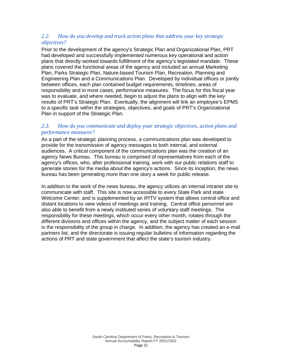# *2.2. How do you develop and track action plans that address your key strategic objectives?*

Prior to the development of the agency's Strategic Plan and Organizational Plan, PRT had developed and successfully implemented numerous key operational and action plans that directly worked towards fulfillment of the agency's legislated mandate. These plans covered the functional areas of the agency and included an annual Marketing Plan, Parks Strategic Plan, Nature-based Tourism Plan, Recreation, Planning and Engineering Plan and a Communications Plan. Developed by individual offices or jointly between offices, each plan contained budget requirements, timelines, areas of responsibility and in most cases, performance measures. The focus for this fiscal year was to evaluate, and where needed, begin to adjust the plans to align with the key results of PRT's Strategic Plan. Eventually, the alignment will link an employee's EPMS to a specific task within the strategies, objectives, and goals of PRT's Organizational Plan in support of the Strategic Plan.

# *2.3. How do you communicate and deploy your strategic objectives, action plans and performance measures?*

As a part of the strategic planning process, a communications plan was developed to provide for the transmission of agency messages to both internal, and external audiences. A critical component of the communications plan was the creation of an agency News Bureau. This bureau is comprised of representatives from each of the agency's offices, who, after professional training, work with our public relations staff to generate stories for the media about the agency's actions. Since its inception, the news bureau has been generating more than one story a week for public release.

In addition to the work of the news bureau, the agency utilizes an internal intranet site to communicate with staff. This site is now accessible to every State Park and state Welcome Center, and is supplemented by an IP/TV system that allows central office and distant locations to view videos of meetings and training. Central office personnel are also able to benefit from a newly instituted series of voluntary staff meetings. The responsibility for these meetings, which occur every other month, rotates through the different divisions and offices within the agency, and the subject matter of each session is the responsibility of the group in charge. In addition, the agency has created an e-mail partners list, and the directorate is issuing regular bulletins of information regarding the actions of PRT and state government that affect the state's tourism industry.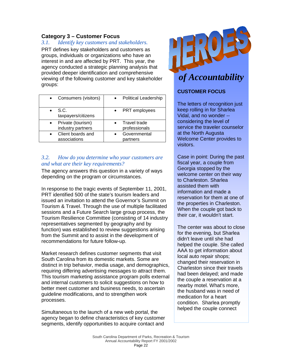# **Category 3 – Customer Focus**

#### *3.1. Identify key customers and stakeholders.*

PRT defines key stakeholders and customers as groups, individuals or organizations who have an interest in and are affected by PRT. This year, the agency conducted a strategic planning analysis that provided deeper identification and comprehensive viewing of the following customer and key stakeholder groups:

| Consumers (visitors)<br>$\bullet$       | Political Leadership              |
|-----------------------------------------|-----------------------------------|
| S.C.<br>$\bullet$<br>taxpayers/citizens | <b>PRT</b> employees<br>$\bullet$ |
| Private (tourism)                       | Travel trade                      |
| industry partners                       | professionals                     |
| Client boards and                       | Governmental                      |
| associations                            | partners                          |

# *3.2. How do you determine who your customers are and what are their key requirements?*

The agency answers this question in a variety of ways depending on the program or circumstances.

In response to the tragic events of September 11, 2001, PRT identified 500 of the state's tourism leaders and issued an invitation to attend the Governor's Summit on Tourism & Travel. Through the use of multiple facilitated sessions and a Future Search large group process, the Tourism Resilience Committee (consisting of 14 industry representatives segmented by geography and by function) was established to review suggestions arising from the Summit and to assist in the development of recommendations for future follow-up.

Market research defines customer segments that visit South Carolina from its domestic markets. Some are distinct in trip behavior, media usage, and demographics, requiring differing advertising messages to attract them. This tourism marketing assistance program polls external and internal customers to solicit suggestions on how to better meet customer and business needs, to ascertain guideline modifications, and to strengthen work processes.

Simultaneous to the launch of a new web portal, the agency began to define characteristics of key customer segments, identify opportunities to acquire contact and



# **CUSTOMER FOCUS**

The letters of recognition just keep rolling in for Sharlea Vidal, and no wonder - considering the level of service the traveler counselor at the North Augusta Welcome Center provides to visitors.

Case in point: During the past fiscal year, a couple from Georgia stopped by the welcome center on their way to Charleston. Sharlea assisted them with information and made a reservation for them at one of the properties in Charleston. When the couple got back to their car, it wouldn't start.

The center was about to close for the evening, but Sharlea didn't leave until she had helped the couple. She called AAA to get information about local auto repair shops; changed their reservation in Charleston since their travels had been delayed; and made the couple a reservation at a nearby motel. What's more, the husband was in need of medication for a heart condition. Sharlea promptly helped the couple connect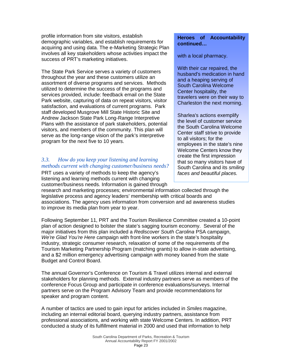profile information from site visitors, establish demographic variables, and establish requirements for acquiring and using data. The e-Marketing Strategic Plan involves all key stakeholders whose activities impact the success of PRT's marketing initiatives.

The State Park Service serves a variety of customers throughout the year and these customers utilize an assortment of diverse programs and services. Methods utilized to determine the success of the programs and services provided, include: feedback email on the State Park website, capturing of data on repeat visitors, visitor satisfaction, and evaluations of current programs. Park staff developed Musgrove Mill State Historic Site and Andrew Jackson State Park Long-Range Interpretive Plans with the assistance of park stakeholders, potential visitors, and members of the community. This plan will serve as the long-range vision of the park's interpretive program for the next five to 10 years.

# *3.3. How do you keep your listening and learning methods current with changing customer/business needs?*

PRT uses a variety of methods to keep the agency's listening and learning methods current with changing customer/business needs. Information is gained through

#### **Heroes of Accountability continued…**

with a local pharmacy.

With their car repaired, the husband's medication in hand and a heaping serving of South Carolina Welcome Center hospitality, the travelers were on their way to Charleston the next morning.

Sharlea's actions exemplify the level of customer service the South Carolina Welcome Center staff strive to provide to all visitors; for the employees in the state's nine Welcome Centers know they create the first impression that so many visitors have of South Carolina and its *smiling faces and beautiful places.*

research and marketing processes; environmental information collected through the legislative process and agency leaders' membership with critical boards and associations. The agency uses information from conversion and ad awareness studies to improve its media plan from year to year.

Following September 11, PRT and the Tourism Resilience Committee created a 10-point plan of action designed to bolster the state's sagging tourism economy. Several of the major initiatives from this plan included a *Rediscover South Carolina* PSA campaign, *We're Glad You're Here* campaign with front-line workers in the state's hospitality industry, strategic consumer research, relaxation of some of the requirements of the Tourism Marketing Partnership Program (matching grants) to allow in-state advertising, and a \$2 million emergency advertising campaign with money loaned from the state Budget and Control Board.

The annual Governor's Conference on Tourism & Travel utilizes internal and external stakeholders for planning methods. External industry partners serve as members of the conference Focus Group and participate in conference evaluations/surveys. Internal partners serve on the Program Advisory Team and provide recommendations for speaker and program content.

A number of tactics are used to gain input for articles included in *Smiles* magazine, including an internal editorial board, querying industry partners, assistance from professional associations, and working with state Welcome Centers. In addition, PRT conducted a study of its fulfillment material in 2000 and used that information to help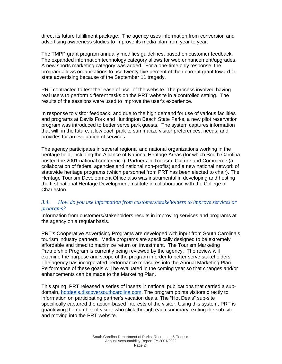direct its future fulfillment package. The agency uses information from conversion and advertising awareness studies to improve its media plan from year to year.

The TMPP grant program annually modifies guidelines, based on customer feedback. The expanded information technology category allows for web enhancement/upgrades. A new sports marketing category was added. For a one-time only response, the program allows organizations to use twenty-five percent of their current grant toward instate advertising because of the September 11 tragedy.

PRT contracted to test the "ease of use" of the website. The process involved having real users to perform different tasks on the PRT website in a controlled setting. The results of the sessions were used to improve the user's experience.

In response to visitor feedback, and due to the high demand for use of various facilities and programs at Devils Fork and Huntington Beach State Parks, a new pilot reservation program was introduced to better serve park guests. The system captures information that will, in the future, allow each park to summarize visitor preferences, needs, and provides for an evaluation of services.

The agency participates in several regional and national organizations working in the heritage field, including the Alliance of National Heritage Areas (for which South Carolina hosted the 2001 national conference), Partners in Tourism: Culture and Commerce (a collaboration of federal agencies and national non-profits) and a new national network of statewide heritage programs (which personnel from PRT has been elected to chair). The Heritage Tourism Development Office also was instrumental in developing and hosting the first national Heritage Development Institute in collaboration with the College of Charleston.

# *3.4. How do you use information from customers/stakeholders to improve services or programs?*

Information from customers/stakeholders results in improving services and programs at the agency on a regular basis.

PRT's Cooperative Advertising Programs are developed with input from South Carolina's tourism industry partners. Media programs are specifically designed to be extremely affordable and timed to maximize return on investment. The Tourism Marketing Partnership Program is currently being reviewed by the agency. The review will examine the purpose and scope of the program in order to better serve stakeholders. The agency has incorporated performance measures into the Annual Marketing Plan. Performance of these goals will be evaluated in the coming year so that changes and/or enhancements can be made to the Marketing Plan.

This spring, PRT released a series of inserts in national publications that carried a subdomain, hotdeals.discoversouthcarolina.com. The program points visitors directly to information on participating partner's vacation deals. The "Hot Deals" sub-site specifically captured the action-based interests of the visitor. Using this system, PRT is quantifying the number of visitor who click through each summary, exiting the sub-site, and moving into the PRT website.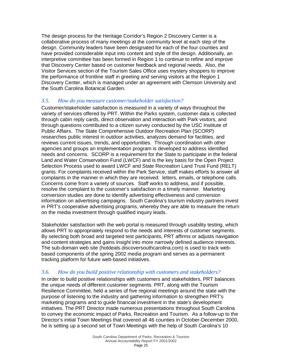The design process for the Heritage Corridor's Region 2 Discovery Center is a collaborative process of many meetings at the community level at each step of the design. Community leaders have been designated for each of the four counties and have provided considerable input into content and style of the design. Additionally, an interpretive committee has been formed in Region 1 to continue to refine and improve that Discovery Center based on customer feedback and regional needs. Also, the Visitor Services section of the Tourism Sales Office uses mystery shoppers to improve the performance of frontline staff in greeting and serving visitors at the Region 1 Discovery Center, which is managed under an agreement with Clemson University and the South Carolina Botanical Garden.

# *3.5. How do you measure customer/stakeholder satisfaction?*

Customer/stakeholder satisfaction is measured in a variety of ways throughout the variety of services offered by PRT. Within the Parks system, customer data is collected through cabin reply cards, direct observation and interaction with Park visitors, and through questions contributed to a citizen survey conducted by the USC Institute of Public Affairs. The State Comprehensive Outdoor Recreation Plan (SCORP) researches public interest in outdoor activities, analyzes demand for facilities, and reviews current issues, trends, and opportunities. Through coordination with other agencies and groups an implementation program is developed to address identified needs and concerns. SCORP is a requirement for the State to participate in the federal Land and Water Conservation Fund (LWCF) and is the key basis for the Open Project Selection Process used to award LWCF and State Recreation Land Trust Fund (RELT) grants. For complaints received within the Park Service, staff makes efforts to answer all complaints in the manner in which they are received: letters, emails, or telephone calls. Concerns come from a variety of sources. Staff works to address, and if possible, resolve the complaint to the customer's satisfaction in a timely manner. Marketing conversion studies are done to identify advertising effectiveness and conversion information on advertising campaigns. South Carolina's tourism industry partners invest in PRT's cooperative advertising programs, whereby they are able to measure the return on the media investment through qualified inquiry leads.

Stakeholder satisfaction with the web portal is measured through usability testing, which allows PRT to appropriately respond to the needs and interests of customer segments. By selecting both broad and targeted test participants, PRT affirms or adjusts navigation and content strategies and gains insight into more narrowly defined audience interests. The sub-domain web site (hotdeals.discoversouthcarolina.com) is used to track webbased components of the spring 2002 media program and serves as a permanent tracking platform for future web-based initiatives.

# *3.6. How do you build positive relationship with customers and stakeholders?*

In order to build positive relationships with customers and stakeholders, PRT balances the unique needs of different customer segments. PRT, along with the Tourism Resilience Committee, held a series of five regional meetings around the state with the purpose of listening to the industry and gathering information to strengthen PRT's marketing programs and to guide financial investment in the state's development initiatives. The PRT Director made numerous presentations throughout South Carolina to convey the economic impact of Parks, Recreation and Tourism. As a follow-up to the Director's initial Town Meetings that covered all 46 counties in October-December 2000, he is setting up a second set of Town Meetings with the help of South Carolina's 10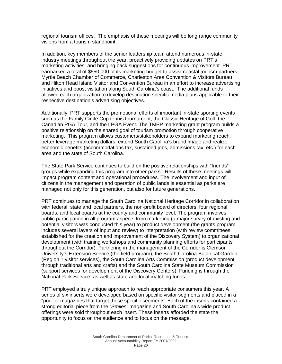regional tourism offices. The emphasis of these meetings will be long range community visions from a tourism standpoint.

In addition, key members of the senior leadership team attend numerous in-state industry meetings throughout the year, proactively providing updates on PRT's marketing activities, and bringing back suggestions for continuous improvement. PRT earmarked a total of \$550,000 of its marketing budget to assist coastal tourism partners; Myrtle Beach Chamber of Commerce, Charleston Area Convention & Visitors Bureau and Hilton Head Island Visitor and Convention Bureau in an effort to increase advertising initiatives and boost visitation along South Carolina's coast. The additional funds allowed each organization to develop destination specific media plans applicable to their respective destination's advertising objectives.

Additionally, PRT supports the promotional efforts of important in-state sporting events such as the Family Circle Cup tennis tournament, the Classic Heritage of Golf, the Canadian PGA Tour, and the LPGA Event. The TMPP marketing grant program builds a positive relationship on the shared goal of tourism promotion through cooperative marketing. This program allows customers/stakeholders to expand marketing reach, better leverage marketing dollars, extend South Carolina's brand image and realize economic benefits (accommodations tax, sustained jobs, admissions tax, etc.) for each area and the state of South Carolina.

The State Park Service continues to build on the positive relationships with "friends" groups while expanding this program into other parks. Results of these meetings will impact program content and operational procedures. The involvement and input of citizens in the management and operation of public lands is essential as parks are managed not only for this generation, but also for future generations.

PRT continues to manage the South Carolina National Heritage Corridor in collaboration with federal, state and local partners, the non-profit board of directors, four regional boards, and local boards at the county and community level. The program involves public participation in all program aspects from marketing (a major survey of existing and potential visitors was conducted this year) to product development (the grants program includes several layers of input and review) to interpretation (with review committees established for the creation and improvement of the Discovery System) to organizational development (with training workshops and community planning efforts for participants throughout the Corridor). Partnering in the management of the Corridor is Clemson University's Extension Service (the field program), the South Carolina Botanical Garden (Region 1 visitor services), the South Carolina Arts Commission (product development through traditional arts and crafts) and the South Carolina State Museum Commission (support services for development of the Discovery Centers). Funding is through the National Park Service, as well as state and local matching funds.

PRT employed a truly unique approach to reach appropriate consumers this year. A series of six inserts were developed based on specific visitor segments and placed in a "pod" of magazines that target those specific segments. Each of the inserts contained a strong editorial piece from the "*Smiles"* magazine and South Carolina's wide product offerings were sold throughout each insert. These inserts afforded the state the opportunity to focus on the audience and to focus on the message.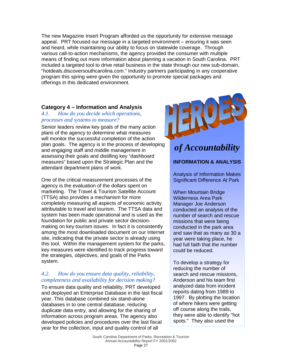The new Magazine Insert Program afforded us the opportunity for extensive message appeal. PRT focused our message in a targeted environment – ensuring it was seen and heard, while maintaining our ability to focus on statewide coverage. Through various call-to-action mechanisms, the agency provided the consumer with multiple means of finding out more information about planning a vacation in South Carolina. PRT included a targeted tool to drive retail business in the state through our new sub-domain, "hotdeals.discoversouthcarolina.com." Industry partners participating in any cooperative program this spring were given the opportunity to promote special packages and offerings in this dedicated environment.

#### **Category 4 – Information and Analysis**

# *4.1. How do you decide which operations, processes and systems to measure?*

Senior leaders review key goals of the many action plans of the agency to determine what measures will monitor the successful completion of the action plan goals. The agency is in the process of developing and engaging staff and middle management in assessing their goals and distilling key "dashboard measures" based upon the Strategic Plan and the attendant department plans of work.

One of the critical measurement processes of the agency is the evaluation of the dollars spent on marketing. The Travel & Tourism Satellite Account (TTSA) also provides a mechanism for more completely measuring all aspects of economic activity attributable to travel and tourism. The TTSA data and system has been made operational and is used as the foundation for public and private sector decisionmaking on key tourism issues. In fact it is consistently among the most downloaded document on our Internet site, indicating that the private sector is already using this tool. Within the management system for the parks, key measures were identified to track progress toward the strategies, objectives, and goals of the Parks system.

#### *4.2. How do you ensure data quality, reliability, completeness and availability for decision making?*

To ensure data quality and reliability, PRT developed and deployed an Enterprise Database in the last fiscal year. This database combined six stand-alone databases in to one central database, reducing duplicate data entry, and allowing for the sharing of information across program areas. The agency also developed policies and procedures over the last fiscal year for the collection, input and quality control of all



# *of Accountability*

# **INFORMATION & ANALYSIS**

Analysis of Information Makes Significant Difference At Park

When Mountain Bridge Wilderness Area Park Manager Joe Anderson conducted an analysis of the number of search and rescue missions that were being conducted in the park area and saw that as many as 30 a year were taking place, he had full faith that the number could be reduced.

To develop a strategy for reducing the number of search and rescue missions, Anderson and his team first analyzed data from incident reports dating from 1989 to 1997. By plotting the location of where hikers were getting off course along the trails, they were able to identify "hot spots." They also used the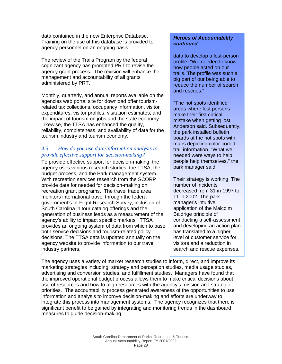data contained in the new Enterprise Database. Training on the use of this database is provided to agency personnel on an ongoing basis.

The review of the Trails Program by the federal cognizant agency has prompted PRT to revise the agency grant process. The revision will enhance the management and accountability of all grants administered by PRT.

Monthly, quarterly, and annual reports available on the agencies web portal site for download offer tourismrelated tax collections, occupancy information, visitor expenditures, visitor profiles, visitation estimates, and the impact of tourism on jobs and the state economy. Likewise, the TTSA has enhanced the quality, reliability, completeness, and availability of data for the tourism industry and tourism economy.

# *4.3. How do you use data/information analysis to provide effective support for decision-making?*

To provide effective support for decision-making, the agency uses various research studies, the TTSA, the budget process, and the Park management system. With recreation services research from the SCORP provide data for needed for decision-making on recreation grant programs. The travel trade area monitors international travel through the federal government's In-Flight Research Survey, inclusion of South Carolina in tour catalog offerings and the generation of business leads as a measurement of the agency's ability to impact specific markets. TTSA provides an ongoing system of data from which to base both service decisions and tourism-related policy decisions. The TTSA data is updated annually on the agency website to provide information to our travel industry partners.

#### *Heroes of Accountability continued*…

data to develop a lost-person profile. "We needed to know how people acted on our trails. The profile was such a big part of our being able to reduce the number of search and rescues."

"The hot spots identified areas where lost persons make their first critical mistake when getting lost," Anderson said. Subsequently, the park installed bulletin boards at the hot spots with maps depicting color-coded trail information. "What we needed were ways to help people help themselves," the park manager said.

Their strategy is working. The number of incidents decreased from 31 in 1997 to 11 in 2002. The park manager's intuitive application of the Malcolm Baldrige principle of conducting a self-assessment and developing an action plan has translated to a higher level of customer service for visitors and a reduction in search and rescue expenses.

The agency uses a variety of market research studies to inform, direct, and improve its marketing strategies including: strategy and perception studies, media usage studies, advertising and conversion studies, and fulfillment studies. Managers have found that the improved operational budget process allows them to make critical decisions about use of resources and how to align resources with the agency's mission and strategic priorities. The accountability process generated awareness of the opportunities to use information and analysis to improve decision-making and efforts are underway to integrate this process into management systems. The agency recognizes that there is significant benefit to be gained by integrating and monitoring trends in the dashboard measures to guide decision-making.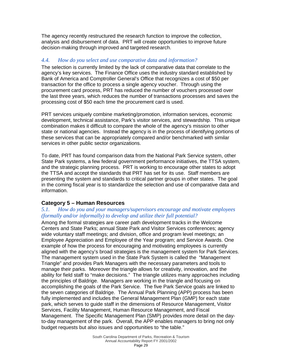The agency recently restructured the research function to improve the collection, analysis and disbursement of data. PRT will create opportunities to improve future decision-making through improved and targeted research.

#### *4.4. How do you select and use comparative data and information?*

The selection is currently limited by the lack of comparative data that correlate to the agency's key services. The Finance Office uses the industry standard established by Bank of America and Comptroller General's Office that recognizes a cost of \$50 per transaction for the office to process a single agency voucher. Through using the procurement card process, PRT has reduced the number of vouchers processed over the last three years, which reduces the number of transactions processes and saves the processing cost of \$50 each time the procurement card is used.

PRT services uniquely combine marketing/promotion, information services, economic development, technical assistance, Park's visitor services, and stewardship. This unique combination makes it difficult to compare the whole of the agency's mission to other state or national agencies. Instead the agency is in the process of identifying portions of these services that can be appropriately compared and/or benchmarked with similar services in other public sector organizations.

To date, PRT has found comparison data from the National Park Service system, other State Park systems, a few federal government performance initiatives, the TTSA system, and the strategic planning process. PRT is working to encourage other states to adopt the TTSA and accept the standards that PRT has set for its use. Staff members are presenting the system and standards to critical partner groups in other states. The goal in the coming fiscal year is to standardize the selection and use of comparative data and information.

# **Category 5 – Human Resources**

#### *5.1. How do you and your managers/supervisors encourage and motivate employees (formally and/or informally) to develop and utilize their full potential?*

Among the formal strategies are career path development tracks in the Welcome Centers and State Parks; annual State Park and Visitor Services conferences; agency wide voluntary staff meetings; and division, office and program level meetings; an Employee Appreciation and Employee of the Year program; and Service Awards. One example of how the process for encouraging and motivating employees is currently aligned with the agency's broad strategies is the management system for Park Services. The management system used in the State Park System is called the "Management Triangle" and provides Park Managers with the necessary parameters and tools to manage their parks. Moreover the triangle allows for creativity, innovation, and the ability for field staff to "make decisions." The triangle utilizes many approaches including the principles of Baldrige. Managers are working in the triangle and focusing on accomplishing the goals of the Park Service. The five Park Service goals are linked to the seven categories of Baldrige. The Annual Park Planning (APP) process has been fully implemented and includes the General Management Plan (GMP) for each state park, which serves to guide staff in the dimensions of Resource Management, Visitor Services, Facility Management, Human Resource Management, and Fiscal Management. The Specific Management Plan (SMP) provides more detail on the dayto-day management of the park. Overall, the APP enables managers to bring not only budget requests but also issues and opportunities to "the table."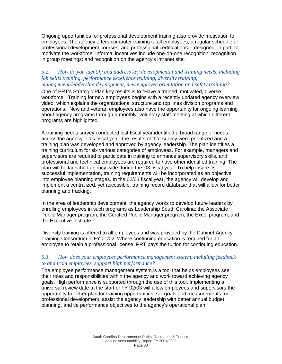Ongoing opportunities for professional development training also provide motivation to employees. The agency offers computer training to all employees; a regular schedule of professional development courses; and professional certifications -- designed, in part, to motivate the workforce. Informal incentives include one-on-one recognition; recognition in group meetings; and recognition on the agency's intranet site.

#### *5.2. How do you identify and address key developmental and training needs, including job skills training, performance excellence training, diversity training, management/leadership development, new employee orientation and safety training?*

One of PRT's Strategic Plan key results is to "Have a trained, motivated, diverse workforce." Training for new employees begins with a recently updated agency overview video, which explains the organizational structure and top lines division programs and operations. New and veteran employees also have the opportunity for ongoing learning about agency programs through a monthly, voluntary staff meeting at which different programs are highlighted.

A training needs survey conducted last fiscal year identified a broad range of needs across the agency. This fiscal year, the results of that survey were prioritized and a training plan was developed and approved by agency leadership. The plan identifies a training curriculum for six various categories of employees. For example, managers and supervisors are required to participate in training to enhance supervisory skills, and professional and technical employees are required to have other identified training. The plan will be launched agency wide during the '03 fiscal year. To help insure its successful implementation, training requirements will be incorporated as an objective into employee planning stages. In the 02/03 fiscal year, the agency will develop and implement a centralized, yet accessible, training record database that will allow for better planning and tracking.

In the area of leadership development, the agency works to develop future leaders by enrolling employees in such programs as Leadership South Carolina; the Associate Public Manager program; the Certified Public Manager program; the Excel program; and the Executive Institute.

Diversity training is offered to all employees and was provided by the Cabinet Agency Training Consortium in FY 01/02. Where continuing education is required for an employee to retain a professional license, PRT pays the tuition for continuing education.

#### *5.3. How does your employees performance management system, including feedback to and from employees, support high performance?*

The employee performance management system is a tool that helps employees see their roles and responsibilities within the agency and work toward achieving agency goals. High performance is supported through the use of this tool. Implementing a universal review date at the start of FY 02/03 will allow employees and supervisors the opportunity to better plan for training opportunities, set goals and measurements for professional development, assist the agency leadership with better annual budget planning, and tie performance objectives to the agency's operational plan.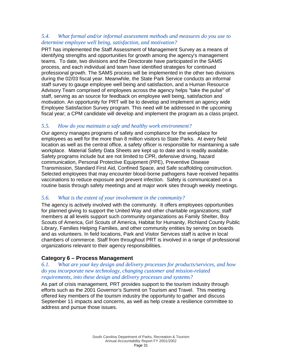# *5.4. What formal and/or informal assessment methods and measures do you use to determine employee well being, satisfaction, and motivation?*

PRT has implemented the Staff Assessment of Management Survey as a means of identifying strengths and opportunities for growth among the agency's management teams. To date, two divisions and the Directorate have participated in the SAMS process, and each individual and team have identified strategies for continued professional growth. The SAMS process will be implemented in the other two divisions during the 02/03 fiscal year. Meanwhile, the State Park Service conducts an informal staff survey to gauge employee well being and satisfaction, and a Human Resource Advisory Team comprised of employees across the agency helps "take the pulse" of staff, serving as an source for feedback on employee well being, satisfaction and motivation. An opportunity for PRT will be to develop and implement an agency wide Employee Satisfaction Survey program. This need will be addressed in the upcoming fiscal year; a CPM candidate will develop and implement the program as a class project.

# *5.5. How do you maintain a safe and healthy work environment?*

Our agency manages programs of safety and compliance for the workplace for employees as well for the more than 8 million visitors to State Parks. At every field location as well as the central office, a safety officer is responsible for maintaining a safe workplace. Material Safety Data Sheets are kept up to date and is readily available. Safety programs include but are not limited to CPR, defensive driving, hazard communication, Personal Protective Equipment (PPE), Preventive Disease Transmission, Standard First Aid, Confined Space, and Safe scaffolding construction. Selected employees that may encounter blood-borne pathogens have received hepatitis vaccinations to reduce exposure and prevent infection. Safety is communicated on a routine basis through safety meetings and at major work sites through weekly meetings.

#### *5.6. What is the extent of your involvement in the community?*

The agency is actively involved with the community. It offers employees opportunities for planned giving to support the United Way and other charitable organizations; staff members at all levels support such community organizations as Family Shelter, Boy Scouts of America, Girl Scouts of America, Habitat for Humanity, Richland County Public Library, Families Helping Families, and other community entities by serving on boards and as volunteers. In field locations, Park and Visitor Services staff is active in local chambers of commerce. Staff from throughout PRT is involved in a range of professional organizations relevant to their agency responsibilities.

# **Category 6 – Process Management**

# *6.1. What are your key design and delivery processes for products/services, and how do you incorporate new technology, changing customer and mission-related requirements, into these design and delivery processes and systems?*

As part of crisis management, PRT provides support to the tourism industry through efforts such as the 2001 Governor's Summit on Tourism and Travel. This meeting offered key members of the tourism industry the opportunity to gather and discuss September 11 impacts and concerns, as well as help create a resilience committee to address and pursue those issues.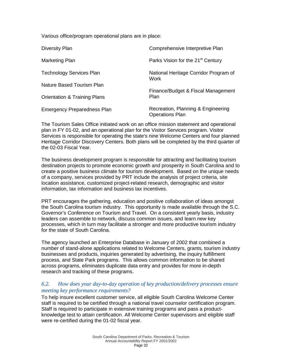Various office/program operational plans are in place:

| Diversity Plan                          | Comprehensive Interpretive Plan                              |
|-----------------------------------------|--------------------------------------------------------------|
| Marketing Plan                          | Parks Vision for the 21 <sup>st</sup> Century                |
| <b>Technology Services Plan</b>         | National Heritage Corridor Program of<br>Work                |
| <b>Nature Based Tourism Plan</b>        |                                                              |
| <b>Orientation &amp; Training Plans</b> | Finance/Budget & Fiscal Management<br>Plan                   |
| <b>Emergency Preparedness Plan</b>      | Recreation, Planning & Engineering<br><b>Operations Plan</b> |

The Tourism Sales Office initiated work on an office mission statement and operational plan in FY 01-02, and an operational plan for the Visitor Services program. Visitor Services is responsible for operating the state's nine Welcome Centers and four planned Heritage Corridor Discovery Centers. Both plans will be completed by the third quarter of the 02-03 Fiscal Year.

The business development program is responsible for attracting and facilitating tourism destination projects to promote economic growth and prosperity in South Carolina and to create a positive business climate for tourism development. Based on the unique needs of a company, services provided by PRT include the analysis of project criteria, site location assistance, customized project-related research, demographic and visitor information, tax information and business tax incentives.

PRT encourages the gathering, education and positive collaboration of ideas amongst the South Carolina tourism industry. This opportunity is made available through the S.C. Governor's Conference on Tourism and Travel. On a consistent yearly basis, industry leaders can assemble to network, discuss common issues, and learn new key processes, which in turn may facilitate a stronger and more productive tourism industry for the state of South Carolina.

The agency launched an Enterprise Database in January of 2002 that combined a number of stand-alone applications related to Welcome Centers, grants, tourism industry businesses and products, inquiries generated by advertising, the inquiry fulfillment process, and State Park programs. This allows common information to be shared across programs, eliminates duplicate data entry and provides for more in-depth research and tracking of these programs.

#### *6.2. How does your day-to-day operation of key production/delivery processes ensure meeting key performance requirements?*

To help insure excellent customer service, all eligible South Carolina Welcome Center staff is required to be certified through a national travel counselor certification program. Staff is required to participate in extensive training programs and pass a productknowledge test to attain certification. All Welcome Center supervisors and eligible staff were re-certified during the 01-02 fiscal year.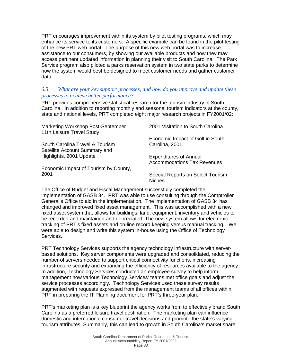PRT encourages improvement within its system by pilot testing programs, which may enhance its service to its customers. A specific example can be found in the pilot testing of the new PRT web portal. The purpose of this new web portal was to increase assistance to our consumers, by showing our available products and how they may access pertinent updated information in planning their visit to South Carolina. The Park Service program also piloted a parks reservation system in two state parks to determine how the system would best be designed to meet customer needs and gather customer data.

#### *6.3. What are your key support processes, and how do you improve and update these processes to achieve better performance?*

PRT provides comprehensive statistical research for the tourism industry in South Carolina. In addition to reporting monthly and seasonal tourism indicators at the county, state and national levels, PRT completed eight major research projects in FY2001/02:

| Marketing Workshop Post-September<br>11th Leisure Travel Study   | 2001 Visitation to South Carolina                                   |
|------------------------------------------------------------------|---------------------------------------------------------------------|
| South Carolina Travel & Tourism<br>Satellite Account Summary and | Economic Impact of Golf in South<br>Carolina, 2001                  |
| Highlights, 2001 Update                                          | <b>Expenditures of Annual</b><br><b>Accommodations Tax Revenues</b> |
| Economic Impact of Tourism by County,                            |                                                                     |
| 2001                                                             | Special Reports on Select Tourism<br><b>Niches</b>                  |

The Office of Budget and Fiscal Management successfully completed the implementation of GASB 34. PRT was able to use consulting through the Comptroller General's Office to aid in the implementation. The implementation of GASB 34 has changed and improved fixed asset management. This was accomplished with a new fixed asset system that allows for buildings, land, equipment, inventory and vehicles to be recorded and maintained and depreciated. The new system allows for electronic tracking of PRT's fixed assets and on-line record keeping versus manual tracking. We were able to design and write this system in-house using the Office of Technology Services.

PRT Technology Services supports the agency technology infrastructure with serverbased solutions. Key server components were upgraded and consolidated, reducing the number of servers needed to support critical connectivity functions, increasing infrastructure security and expanding the efficiency of resources available to the agency. In addition, Technology Services conducted an employee survey to help inform management how various Technology Services' teams met office goals and adjust the service processes accordingly. Technology Services used these survey results augmented with requests expressed from the management teams of all offices within PRT in preparing the IT Planning document for PRT's three-year plan.

PRT's marketing plan is a key blueprint the agency works from to effectively brand South Carolina as a preferred leisure travel destination. The marketing plan can influence domestic and international consumer travel decisions and promote the state's varying tourism attributes. Summarily, this can lead to growth in South Carolina's market share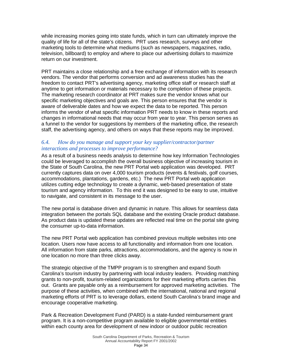while increasing monies going into state funds, which in turn can ultimately improve the quality of life for all of the state's citizens. PRT uses research, surveys and other marketing tools to determine what mediums (such as newspapers, magazines, radio, television, billboard) to employ and where to place our advertising dollars to maximize return on our investment.

PRT maintains a close relationship and a free exchange of information with its research vendors. The vendor that performs conversion and ad awareness studies has the freedom to contact PRT's advertising agency, marketing office staff or research staff at anytime to get information or materials necessary to the completion of these projects. The marketing research coordinator at PRT makes sure the vendor knows what our specific marketing objectives and goals are. This person ensures that the vendor is aware of deliverable dates and how we expect the data to be reported. This person informs the vendor of what specific information PRT needs to know in these reports and changes in informational needs that may occur from year to year. This person serves as a funnel to the vendor for suggestions by members of the marketing office, the research staff, the advertising agency, and others on ways that these reports may be improved.

#### *6.4. How do you manage and support your key supplier/contractor/partner interactions and processes to improve performance?*

As a result of a business needs analysis to determine how key Information Technologies could be leveraged to accomplish the overall business objective of increasing tourism in the State of South Carolina, the new PRT Portal web application was developed. PRT currently captures data on over 4,000 tourism products (events & festivals, golf courses, accommodations, plantations, gardens, etc.) The new PRT Portal web application utilizes cutting edge technology to create a dynamic, web-based presentation of state tourism and agency information. To this end it was designed to be easy to use, intuitive to navigate, and consistent in its message to the user.

The new portal is database driven and dynamic in nature. This allows for seamless data integration between the portals SQL database and the existing Oracle product database. As product data is updated these updates are reflected real time on the portal site giving the consumer up-to-data information.

The new PRT Portal web application has combined previous multiple websites into one location. Users now have access to all functionality and information from one location. All information from state parks, attractions, accommodations, and the agency is now in one location no more than three clicks away.

The strategic objective of the TMPP program is to strengthen and expand South Carolina's tourism industry by partnering with local industry leaders. Providing matching grants to non-profit, tourism-related organizations for their marketing efforts carries this out. Grants are payable only as a reimbursement for approved marketing activities. The purpose of these activities, when combined with the international, national and regional marketing efforts of PRT is to leverage dollars, extend South Carolina's brand image and encourage cooperative marketing.

Park & Recreation Development Fund (PARD) is a state-funded reimbursement grant program. It is a non-competitive program available to eligible governmental entities within each county area for development of new indoor or outdoor public recreation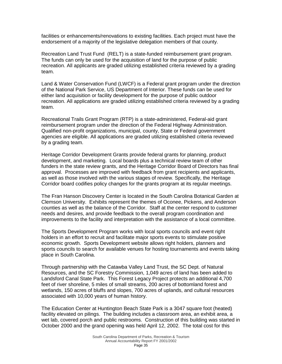facilities or enhancements/renovations to existing facilities. Each project must have the endorsement of a majority of the legislative delegation members of that county.

Recreation Land Trust Fund (RELT) is a state-funded reimbursement grant program. The funds can only be used for the acquisition of land for the purpose of public recreation. All applicants are graded utilizing established criteria reviewed by a grading team.

Land & Water Conservation Fund (LWCF) is a Federal grant program under the direction of the National Park Service, US Department of Interior. These funds can be used for either land acquisition or facility development for the purpose of public outdoor recreation. All applications are graded utilizing established criteria reviewed by a grading team.

Recreational Trails Grant Program (RTP) is a state-administered, Federal-aid grant reimbursement program under the direction of the Federal Highway Administration. Qualified non-profit organizations, municipal, county, State or Federal government agencies are eligible. All applications are graded utilizing established criteria reviewed by a grading team.

Heritage Corridor Development Grants provide federal grants for planning, product development, and marketing. Local boards plus a technical review team of other funders in the state review grants, and the Heritage Corridor Board of Directors has final approval. Processes are improved with feedback from grant recipients and applicants, as well as those involved with the various stages of review. Specifically, the Heritage Corridor board codifies policy changes for the grants program at its regular meetings.

The Fran Hanson Discovery Center is located in the South Carolina Botanical Garden at Clemson University. Exhibits represent the themes of Oconee, Pickens, and Anderson counties as well as the balance of the Corridor. Staff at the center respond to customer needs and desires, and provide feedback to the overall program coordination and improvements to the facility and interpretation with the assistance of a local committee.

The Sports Development Program works with local sports councils and event right holders in an effort to recruit and facilitate major sports events to stimulate positive economic growth. Sports Development website allows right holders, planners and sports councils to search for available venues for hosting tournaments and events taking place in South Carolina.

Through partnership with the Catawba Valley Land Trust, the SC Dept. of Natural Resources, and the SC Forestry Commission, 1,049 acres of land has been added to Landsford Canal State Park. This Forest Legacy Project protects an additional 4,700 feet of river shoreline, 5 miles of small streams, 200 acres of bottomland forest and wetlands, 150 acres of bluffs and slopes, 700 acres of uplands, and cultural resources associated with 10,000 years of human history.

The Education Center at Huntington Beach State Park is a 3047 square foot (heated) facility elevated on pilings. The building includes a classroom area, an exhibit area, a wet lab, covered porch and public restrooms. Construction of this building was started in October 2000 and the grand opening was held April 12, 2002. The total cost for this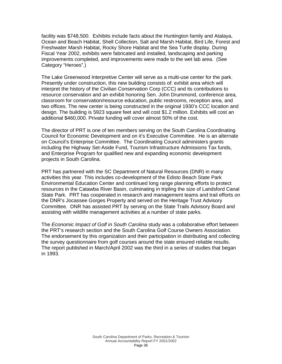facility was \$748,500. Exhibits include facts about the Huntington family and Atalaya, Ocean and Beach Habitat, Shell Collection, Salt and Marsh Habitat, Bird Life, Forest and Freshwater Marsh Habitat, Rocky Shore Habitat and the Sea Turtle display. During Fiscal Year 2002, exhibits were fabricated and installed, landscaping and parking improvements completed, and improvements were made to the wet lab area. (See Category "Heroes".)

The Lake Greenwood Interpretive Center will serve as a multi-use center for the park. Presently under construction, this new building consists of: exhibit area which will interpret the history of the Civilian Conservation Corp (CCC) and its contributions to resource conservation and an exhibit honoring Sen. John Drummond, conference area, classroom for conservation/resource education, public restrooms, reception area, and two offices. The new center is being constructed in the original 1930's CCC location and design. The building is 5923 square feet and will cost \$1.2 million. Exhibits will cost an additional \$460,000. Private funding will cover almost 50% of the cost.

The director of PRT is one of ten members serving on the South Carolina Coordinating Council for Economic Development and on it's Executive Committee. He is an alternate on Council's Enterprise Committee. The Coordinating Council administers grants including the Highway Set-Aside Fund, Tourism Infrastructure Admissions Tax funds, and Enterprise Program for qualified new and expanding economic development projects in South Carolina.

PRT has partnered with the SC Department of Natural Resources (DNR) in many activities this year. This includes co-development of the Edisto Beach State Park Environmental Education Center and continued long range planning efforts to protect resources in the Catawba River Basin, culminating in tripling the size of Landsford Canal State Park. PRT has cooperated in research and management teams and trail efforts on the DNR's Jocassee Gorges Property and served on the Heritage Trust Advisory Committee. DNR has assisted PRT by serving on the State Trails Advisory Board and assisting with wildlife management activities at a number of state parks.

The *Economic Impact of Golf in South Carolina* study was a collaborative effort between the PRT's research section and the South Carolina Golf Course Owners Association. The endorsement by this organization and their participation in distributing and collecting the survey questionnaire from golf courses around the state ensured reliable results. The report published in March/April 2002 was the third in a series of studies that began in 1993.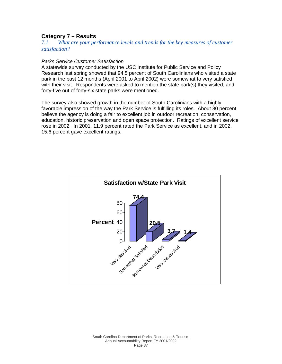# **Category 7 – Results**

#### *7.1 What are your performance levels and trends for the key measures of customer satisfaction?*

#### *Parks Service Customer Satisfaction*

A statewide survey conducted by the USC Institute for Public Service and Policy Research last spring showed that 94.5 percent of South Carolinians who visited a state park in the past 12 months (April 2001 to April 2002) were somewhat to very satisfied with their visit. Respondents were asked to mention the state park(s) they visited, and forty-five out of forty-six state parks were mentioned.

The survey also showed growth in the number of South Carolinians with a highly favorable impression of the way the Park Service is fulfilling its roles. About 80 percent believe the agency is doing a fair to excellent job in outdoor recreation, conservation, education, historic preservation and open space protection. Ratings of excellent service rose in 2002. In 2001, 11.9 percent rated the Park Service as excellent, and in 2002, 15.6 percent gave excellent ratings.

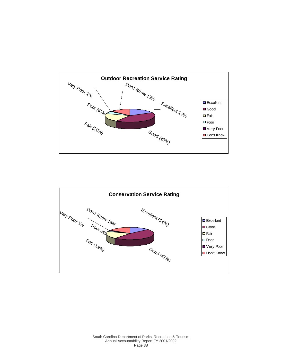

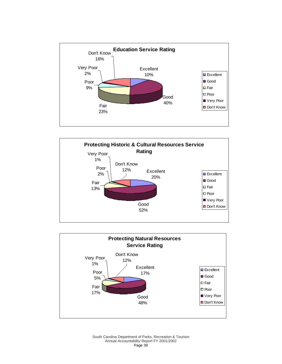



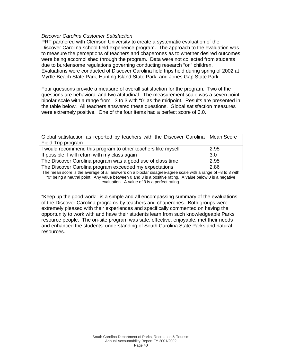#### *Discover Carolina Customer Satisfaction*

PRT partnered with Clemson University to create a systematic evaluation of the Discover Carolina school field experience program. The approach to the evaluation was to measure the perceptions of teachers and chaperones as to whether desired outcomes were being accomplished through the program. Data were not collected from students due to burdensome regulations governing conducting research "on" children. Evaluations were conducted of Discover Carolina field trips held during spring of 2002 at Myrtle Beach State Park, Hunting Island State Park, and Jones Gap State Park.

Four questions provide a measure of overall satisfaction for the program. Two of the questions are behavioral and two attitudinal. The measurement scale was a seven point bipolar scale with a range from –3 to 3 with "0" as the midpoint. Results are presented in the table below. All teachers answered these questions. Global satisfaction measures were extremely positive. One of the four items had a perfect score of 3.0.

| Global satisfaction as reported by teachers with the Discover Carolina   Mean Score |      |
|-------------------------------------------------------------------------------------|------|
| Field Trip program                                                                  |      |
| I would recommend this program to other teachers like myself                        | 2.95 |
| If possible, I will return with my class again                                      | 3.0  |
| The Discover Carolina program was a good use of class time                          | 2.95 |
| The Discover Carolina program exceeded my expectations                              | 2.86 |

The mean score is the average of all answers on a bipolar disagree-agree scale with a range of –3 to 3 with "0" being a neutral point. Any value between 0 and 3 is a positive rating. A value below 0 is a negative evaluation. A value of 3 is a perfect rating.

"Keep up the good work!" is a simple and all encompassing summary of the evaluations of the Discover Carolina programs by teachers and chaperones. Both groups were extremely pleased with their experiences and specifically commented on having the opportunity to work with and have their students learn from such knowledgeable Parks resource people. The on-site program was safe, effective, enjoyable, met their needs and enhanced the students' understanding of South Carolina State Parks and natural resources.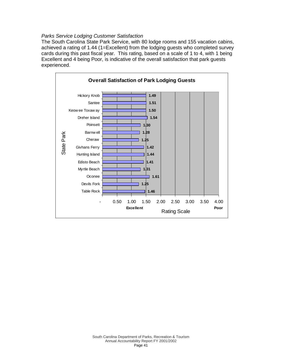#### *Parks Service Lodging Customer Satisfaction*

The South Carolina State Park Service, with 80 lodge rooms and 155 vacation cabins, achieved a rating of 1.44 (1=Excellent) from the lodging guests who completed survey cards during this past fiscal year. This rating, based on a scale of 1 to 4, with 1 being Excellent and 4 being Poor, is indicative of the overall satisfaction that park guests experienced.

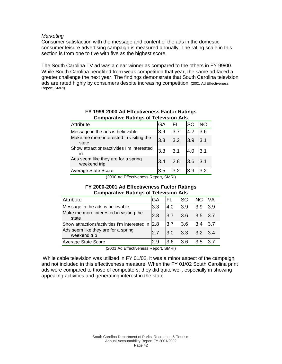#### *Marketing*

Consumer satisfaction with the message and content of the ads in the domestic consumer leisure advertising campaign is measured annually. The rating scale in this section is from one to five with five as the highest score.

The South Carolina TV ad was a clear winner as compared to the others in FY 99/00. While South Carolina benefited from weak competition that year, the same ad faced a greater challenge the next year. The findings demonstrate that South Carolina television ads are rated highly by consumers despite increasing competition. (2001 Ad Effectiveness Report, SMRI)

| Attribute                                           | GA  | <b>FL</b> | <b>SC</b> | <b>NC</b> |
|-----------------------------------------------------|-----|-----------|-----------|-----------|
| Message in the ads is believable                    | 3.9 | l3.7      | 4.2       | 3.6       |
| Make me more interested in visiting the<br>state    | 3.3 | 3.2       | 3.9       | 3.1       |
| Show attractions/activities I'm interested<br>in    | 3.3 | l3.1      | 4.0       | 3.1       |
| Ads seem like they are for a spring<br>weekend trip | 3.4 | 2.8       | 3.6       | 3.1       |
| <b>Average State Score</b>                          | 3.5 | 3.2       | 3.9       | 3.2       |

#### **FY 1999-2000 Ad Effectiveness Factor Ratings Comparative Ratings of Television Ads**

(2000 Ad Effectiveness Report, SMRI)

#### **FY 2000-2001 Ad Effectiveness Factor Ratings Comparative Ratings of Television Ads**

| Attribute                                           | GA   | FL   | <b>SC</b> | <b>INC</b> | <b>IVA</b>       |
|-----------------------------------------------------|------|------|-----------|------------|------------------|
| Message in the ads is believable                    | 3.3  | l4.0 | 3.9       | 3.9        | 3.9              |
| Make me more interested in visiting the<br>state    | 2.8  | 3.7  | 3.6       | 3.5        | 3.7              |
| Show attractions/activities I'm interested in       | 12.8 | 3.7  | 3.6       | 3.4        | $\overline{3.7}$ |
| Ads seem like they are for a spring<br>weekend trip | 2.7  | l3.0 | 3.3       | 3.2        | 3.4              |
| <b>Average State Score</b>                          | 2.9  | 3.6  | 3.6       | 3.5        | l3.7             |

(2001 Ad Effectiveness Report, SMRI)

While cable television was utilized in FY 01/02, it was a minor aspect of the campaign, and not included in this effectiveness measure. When the FY 01/02 South Carolina print ads were compared to those of competitors, they did quite well, especially in showing appealing activities and generating interest in the state.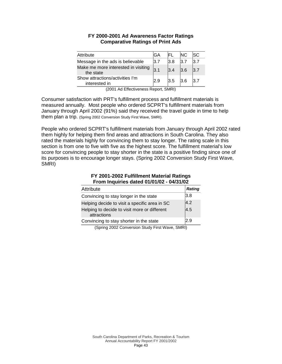#### **FY 2000-2001 Ad Awareness Factor Ratings Comparative Ratings of Print Ads**

| Attribute                                        | IGA |     | NC.  |  |
|--------------------------------------------------|-----|-----|------|--|
| Message in the ads is believable                 | 3.7 | 3.8 | 3.7  |  |
| Make me more interested in visiting<br>the state |     | 34  | 3.6  |  |
| Show attractions/activities I'm<br>interested in | 2.9 | 3.5 | l3 6 |  |

(2001 Ad Effectiveness Report, SMRI)

Consumer satisfaction with PRT's fulfillment process and fulfillment materials is measured annually. Most people who ordered SCPRT's fulfillment materials from January through April 2002 (91%) said they received the travel guide in time to help them plan a trip. (Spring 2002 Conversion Study First Wave, SMRI).

People who ordered SCPRT's fulfillment materials from January through April 2002 rated them highly for helping them find areas and attractions in South Carolina. They also rated the materials highly for convincing them to stay longer. The rating scale in this section is from one to five with five as the highest score. The fulfillment material's low score for convincing people to stay shorter in the state is a positive finding since one of its purposes is to encourage longer stays. (Spring 2002 Conversion Study First Wave, SMRI)

| Attribute                                                                                     | <b>Rating</b> |
|-----------------------------------------------------------------------------------------------|---------------|
| Convincing to stay longer in the state                                                        | 3.8           |
| Helping decide to visit a specific area in SC<br>Helping to decide to visit more or different | 4.2<br>4.5    |
| attractions                                                                                   |               |
| Convincing to stay shorter in the state                                                       | 2.9           |

#### **FY 2001-2002 Fulfillment Material Ratings From Inquiries dated 01/01/02 - 04/31/02**

(Spring 2002 Conversion Study First Wave, SMRI)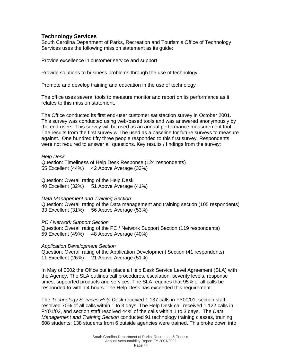#### **Technology Services**

South Carolina Department of Parks, Recreation and Tourism's Office of Technology Services uses the following mission statement as its guide:

Provide excellence in customer service and support.

Provide solutions to business problems through the use of technology

Promote and develop training and education in the use of technology

The office uses several tools to measure monitor and report on its performance as it relates to this mission statement.

The Office conducted its first end-user customer satisfaction survey in October 2001. This survey was conducted using web-based tools and was answered anonymously by the end-users. This survey will be used as an annual performance measurement tool. The results from the first survey will be used as a baseline for future surveys to measure against. One hundred fifty three people responded to this first survey. Respondents were not required to answer all questions. Key results / findings from the survey:

*Help Desk*

Question: Timeliness of Help Desk Response (124 respondents) 55 Excellent (44%) 42 Above Average (33%)

Question: Overall rating of the Help Desk 40 Excellent (32%) 51 Above Average (41%)

*Data Management and Training Section* 

Question: Overall rating of the Data management and training section (105 respondents) 33 Excellent (31%) 56 Above Average (53%)

*PC / Network Support Section* 

Question: Overall rating of the PC / Network Support Section (119 respondents) 59 Excellent (49%) 48 Above Average (40%)

#### *Application Development Section*

Question: Overall rating of the Application Development Section (41 respondents) 11 Excellent (26%) 21 Above Average (51%)

In May of 2002 the Office put in place a Help Desk Service Level Agreement (SLA) with the Agency. The SLA outlines call procedures, escalation, severity levels, response times, supported products and services. The SLA requires that 95% of all calls be responded to within 4 hours. The Help Desk has exceeded this requirement.

The *Technology Services Help Desk* received 1,137 calls in FY00/01; section staff resolved 70% of all calls within 1 to 3 days. The Help Desk call received 1,122 calls in FY01/02, and section staff resolved 44% of the calls within 1 to 3 days. The *Data Management and Training Section* conducted 91 technology training classes, training 608 students; 138 students from 6 outside agencies were trained. This broke down into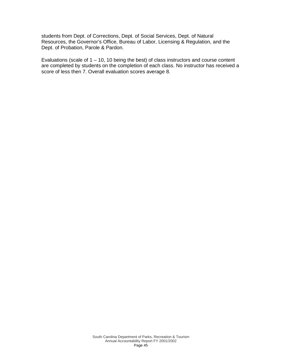students from Dept. of Corrections, Dept. of Social Services, Dept. of Natural Resources, the Governor's Office, Bureau of Labor, Licensing & Regulation, and the Dept. of Probation, Parole & Pardon.

Evaluations (scale of  $1 - 10$ , 10 being the best) of class instructors and course content are completed by students on the completion of each class. No instructor has received a score of less then 7. Overall evaluation scores average 8.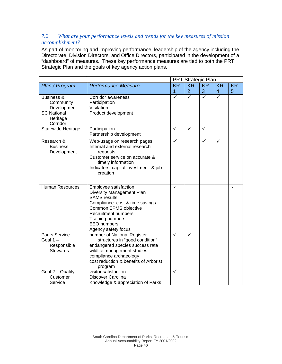# *7.2 What are your performance levels and trends for the key measures of mission accomplishment?*

As part of monitoring and improving performance, leadership of the agency including the Directorate, Division Directors, and Office Directors, participated in the development of a "dashboard" of measures. These key performance measures are tied to both the PRT Strategic Plan and the goals of key agency action plans.

|                                                                                      |                                                                                                                                                                                                                                      | <b>PRT Strategic Plan</b> |                             |                           |                |                |  |
|--------------------------------------------------------------------------------------|--------------------------------------------------------------------------------------------------------------------------------------------------------------------------------------------------------------------------------------|---------------------------|-----------------------------|---------------------------|----------------|----------------|--|
| Plan / Program                                                                       | <b>Performance Measure</b>                                                                                                                                                                                                           | <b>KR</b><br>1            | <b>KR</b><br>$\overline{2}$ | <b>KR</b><br>$\mathbf{3}$ | <b>KR</b><br>4 | <b>KR</b><br>5 |  |
| Business &<br>Community<br>Development<br><b>SC National</b><br>Heritage<br>Corridor | Corridor awareness<br>Participation<br>Visitation<br>Product development                                                                                                                                                             | ✓                         | $\checkmark$                | $\checkmark$              | $\checkmark$   |                |  |
| Statewide Heritage                                                                   | Participation<br>Partnership development                                                                                                                                                                                             | $\checkmark$              | $\checkmark$                |                           |                |                |  |
| Research &<br><b>Business</b><br>Development                                         | Web-usage on research pages<br>Internal and external research<br>requests<br>Customer service on accurate &<br>timely information<br>Indicators: capital investment & job<br>creation                                                |                           |                             | ✓                         | ✓              |                |  |
| <b>Human Resources</b>                                                               | Employee satisfaction<br>Diversity Management Plan<br><b>SAMS</b> results<br>Compliance: cost & time savings<br>Common EPMS objective<br><b>Recruitment numbers</b><br>Training numbers<br><b>EEO</b> numbers<br>Agency safety focus | ✓                         |                             |                           |                |                |  |
| Parks Service<br>Goal $1 -$<br>Responsible<br><b>Stewards</b>                        | number of National Register<br>structures in "good condition"<br>endangered species success rate<br>wildlife management studies<br>compliance archaeology<br>cost reduction & benefits of Arborist<br>program                        | ✓                         | ✓                           |                           |                |                |  |
| Goal 2 - Quality<br>Customer<br>Service                                              | visitor satisfaction<br>Discover Carolina<br>Knowledge & appreciation of Parks                                                                                                                                                       | ✓                         |                             |                           |                |                |  |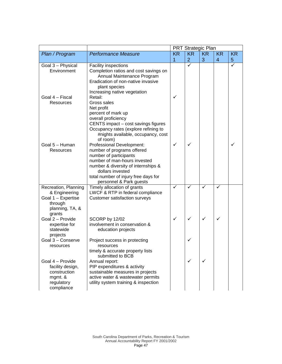|                                                                                                     |                                                                                                                                                                                                                                                 | <b>PRT Strategic Plan</b>                                     |                         |   |                |                         |  |  |
|-----------------------------------------------------------------------------------------------------|-------------------------------------------------------------------------------------------------------------------------------------------------------------------------------------------------------------------------------------------------|---------------------------------------------------------------|-------------------------|---|----------------|-------------------------|--|--|
| Plan / Program                                                                                      | <b>Performance Measure</b>                                                                                                                                                                                                                      | <b>KR</b><br><b>KR</b><br><b>KR</b><br><b>KR</b><br><b>KR</b> |                         |   |                |                         |  |  |
|                                                                                                     |                                                                                                                                                                                                                                                 | 1                                                             | $\overline{2}$          | 3 | $\overline{4}$ | $\sqrt{5}$              |  |  |
| Goal 3 - Physical<br>Environment                                                                    | Facility inspections<br>Completion ratios and cost savings on<br>Annual Maintenance Program<br>Eradication of non-native invasive<br>plant species<br>Increasing native vegetation                                                              |                                                               | $\overline{\checkmark}$ |   |                | $\overline{\checkmark}$ |  |  |
| Goal 4 - Fiscal<br><b>Resources</b>                                                                 | Retail:<br>Gross sales<br>Net profit<br>percent of mark up<br>overall proficiency<br>CENTS impact - cost savings figures<br>Occupancy rates (explore refining to<br>#nights available, occupancy, cost<br>of room)                              | $\checkmark$                                                  |                         |   |                |                         |  |  |
| Goal 5 - Human<br><b>Resources</b>                                                                  | Professional Development:<br>number of programs offered<br>number of participants<br>number of man-hours invested<br>number & diversity of internships &<br>dollars invested<br>total number of injury free days for<br>personnel & Park guests | $\checkmark$                                                  | ✓                       |   |                | ✓                       |  |  |
| Recreation, Planning<br>& Engineering<br>Goal 1 - Expertise<br>through<br>planning, TA, &<br>grants | Timely allocation of grants<br>LWCF & RTP in federal compliance<br><b>Customer satisfaction surveys</b>                                                                                                                                         | $\checkmark$                                                  | ✓                       | ✓ | ✓              |                         |  |  |
| Goal 2 - Provide<br>expertise for<br>statewide<br>projects<br>Goal 3 - Conserve<br>resources        | SCORP by 12/02<br>involvement in conservation &<br>education projects<br>Project success in protecting<br>resources<br>timely & accurate property lists                                                                                         | $\checkmark$                                                  | $\checkmark$            | ✓ | ✓              |                         |  |  |
| Goal 4 - Provide<br>facility design,<br>construction<br>mgmt. &<br>regulatory<br>compliance         | submitted to BCB<br>Annual report:<br>PIP expenditures & activity<br>sustainable measures in projects<br>active water & wastewater permits<br>utility system training & inspection                                                              |                                                               | ✓                       |   |                |                         |  |  |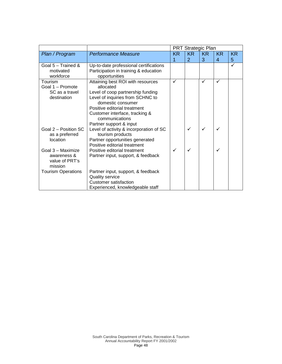|                                                               |                                                                                                                                                                                                                                                             | <b>PRT Strategic Plan</b> |                      |         |                |                |
|---------------------------------------------------------------|-------------------------------------------------------------------------------------------------------------------------------------------------------------------------------------------------------------------------------------------------------------|---------------------------|----------------------|---------|----------------|----------------|
| Plan / Program                                                | <b>Performance Measure</b>                                                                                                                                                                                                                                  | <b>KR</b><br>1            | KR<br>$\overline{2}$ | KR<br>3 | <b>KR</b><br>4 | <b>KR</b><br>5 |
| Goal 5 - Trained &<br>motivated<br>workforce                  | Up-to-date professional certifications<br>Participation in training & education<br>opportunities                                                                                                                                                            |                           |                      |         |                | $\checkmark$   |
| Tourism<br>Goal 1 - Promote<br>SC as a travel<br>destination  | Attaining best ROI with resources<br>allocated<br>Level of coop partnership funding<br>Level of inquiries from SCHNC to<br>domestic consumer<br>Positive editorial treatment<br>Customer interface, tracking &<br>communications<br>Partner support & input | ✓                         |                      | ✓       | ✓              |                |
| Goal 2 – Position SC<br>as a preferred<br>location            | Level of activity & incorporation of SC<br>tourism products<br>Partner opportunities generated<br>Positive editorial treatment                                                                                                                              |                           | ✓                    | ✓       | ✓              |                |
| Goal 3 - Maximize<br>awareness &<br>value of PRT's<br>mission | Positive editorial treatment<br>Partner input, support, & feedback                                                                                                                                                                                          | ✓                         |                      |         | ✓              |                |
| <b>Tourism Operations</b>                                     | Partner input, support, & feedback<br><b>Quality service</b><br><b>Customer satisfaction</b><br>Experienced, knowledgeable staff                                                                                                                            |                           |                      |         |                |                |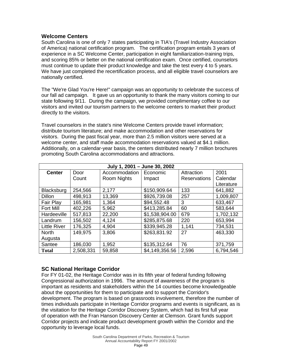#### **Welcome Centers**

South Carolina is one of only 7 states participating in TIA's (Travel Industry Association of America) national certification program. The certification program entails 3 years of experience in a SC Welcome Center, participation in eight familiarization-training trips, and scoring 85% or better on the national certification exam. Once certified, counselors must continue to update their product knowledge and take the test every 4 to 5 years. We have just completed the recertification process, and all eligible travel counselors are nationally certified.

The "We're Glad You're Here!" campaign was an opportunity to celebrate the success of our fall ad campaign. It gave us an opportunity to thank the many visitors coming to our state following 9/11. During the campaign, we provided complimentary coffee to our visitors and invited our tourism partners to the welcome centers to market their product directly to the visitors.

Travel counselors in the state's nine Welcome Centers provide travel information; distribute tourism literature; and make accommodation and other reservations for visitors. During the past fiscal year, more than 2.5 million visitors were served at a welcome center, and staff made accommodation reservations valued at \$4.1 million. Additionally, on a calendar-year basis, the centers distributed nearly 7 million brochures promoting South Carolina accommodations and attractions.

| July 1, 2001 - June 30, 2002 |           |               |                |                     |            |  |  |  |  |
|------------------------------|-----------|---------------|----------------|---------------------|------------|--|--|--|--|
| <b>Center</b>                | Door      | Accommodation | Economic       | Attraction          | 2001       |  |  |  |  |
|                              | Count     | Room Nights   | Impact         | <b>Reservations</b> | Calendar   |  |  |  |  |
|                              |           |               |                |                     | Literature |  |  |  |  |
| Blacksburg                   | 254,566   | 2,177         | \$150,909.64   | 133                 | 641,882    |  |  |  |  |
| <b>Dillon</b>                | 498,913   | 13,369        | \$926,739.08   | 257                 | 1,009,807  |  |  |  |  |
| <b>Fair Play</b>             | 165,981   | 1,364         | \$94,552.48    | 3                   | 633,467    |  |  |  |  |
| <b>Fort Mill</b>             | 402,226   | 5,962         | \$413,285.84   | 60                  | 583,644    |  |  |  |  |
| Hardeeville                  | 517,813   | 22,200        | \$1,538,904.00 | 679                 | 1,702,132  |  |  |  |  |
| Landrum                      | 156,502   | 4,124         | \$285,875.68   | 220                 | 653,994    |  |  |  |  |
| <b>Little River</b>          | 176,325   | 4,904         | \$339,945.28   | 1,141               | 734,531    |  |  |  |  |
| <b>North</b>                 | 149,975   | 3,806         | \$263,831.92   | 27                  | 463,330    |  |  |  |  |
| Augusta                      |           |               |                |                     |            |  |  |  |  |
| Santee                       | 186,030   | 1,952         | \$135,312.64   | 76                  | 371,759    |  |  |  |  |
| <b>Total</b>                 | 2,508,331 | 59,858        | \$4,149,356.56 | 2,596               | 6,794,546  |  |  |  |  |

# **SC National Heritage Corridor**

For FY 01-02, the Heritage Corridor was in its fifth year of federal funding following Congressional authorization in 1996. The amount of awareness of the program is important as residents and stakeholders within the 14 counties become knowledgeable about the opportunities for them to participate and to support the Corridor's development. The program is based on grassroots involvement, therefore the number of times individuals participate in Heritage Corridor programs and events is significant, as is the visitation for the Heritage Corridor Discovery System, which had its first full year of operation with the Fran Hanson Discovery Center at Clemson. Grant funds support Corridor projects and indicate product development growth within the Corridor and the opportunity to leverage local funds.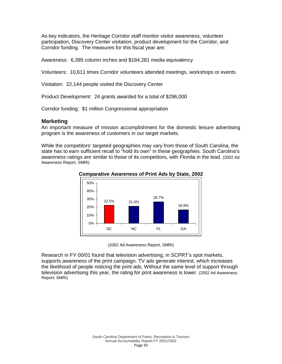As key indicators, the Heritage Corridor staff monitor visitor awareness, volunteer participation, Discovery Center visitation, product development for the Corridor, and Corridor funding. The measures for this fiscal year are:

Awareness: 6,395 column inches and \$184,281 media equivalency

Volunteers: 10,611 times Corridor volunteers attended meetings, workshops or events

Visitation: 22,144 people visited the Discovery Center

Product Development: 24 grants awarded for a total of \$296,000

Corridor funding: \$1 million Congressional appropriation

#### **Marketing**

An important measure of mission accomplishment for the domestic leisure advertising program is the awareness of customers in our target markets.

While the competitors' targeted geographies may vary from those of South Carolina, the state has to earn sufficient recall to "hold its own" in these geographies. South Carolina's awareness ratings are similar to those of its competitors, with Florida in the lead. (2002 Ad Awareness Report, SMRI)



**Comparative Awareness of Print Ads by State, 2002**

(2002 Ad Awareness Report, SMRI)

Research in FY 00/01 found that television advertising, in SCPRT's spot markets, supports awareness of the print campaign. TV ads generate interest, which increases the likelihood of people noticing the print ads. Without the same level of support through television advertising this year, the rating for print awareness is lower. (2002 Ad Awareness Report, SMRI)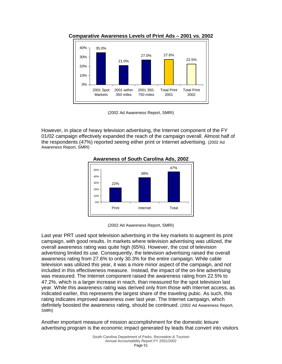

**Comparative Awareness Levels of Print Ads – 2001 vs. 2002**

(2002 Ad Awareness Report, SMRI)

However, in place of heavy television advertising, the Internet component of the FY 01/02 campaign effectively expanded the reach of the campaign overall. Almost half of the respondents (47%) reported seeing either print or Internet advertising. (2002 Ad Awareness Report, SMRI)



**Awareness of South Carolina Ads, 2002**

(2002 Ad Awareness Report, SMRI)

Last year PRT used spot television advertising in the key markets to augment its print campaign, with good results. In markets where television advertising was utilized, the overall awareness rating was quite high (65%). However, the cost of television advertising limited its use. Consequently, the television advertising raised the overall awareness rating from 27.6% to only 30.3% for the entire campaign. While cable television was utilized this year, it was a more minor aspect of the campaign, and not included in this effectiveness measure. Instead, the impact of the on-line advertising was measured. The Internet component raised the awareness rating from 22.5% to 47.2%, which is a larger increase in reach, than measured for the spot television last year. While this awareness rating was derived only from those with Internet access, as indicated earlier, this represents the largest share of the traveling pubic. As such, this rating indicates improved awareness over last year. The Internet campaign, which definitely boosted the awareness rating, should be continued. (2002 Ad Awareness Report, SMRI)

Another important measure of mission accomplishment for the domestic leisure advertising program is the economic impact generated by leads that convert into visitors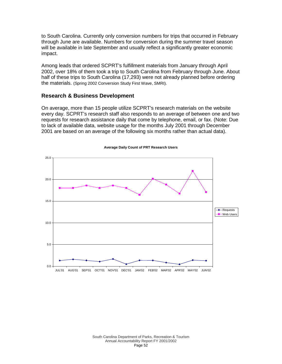to South Carolina. Currently only conversion numbers for trips that occurred in February through June are available. Numbers for conversion during the summer travel season will be available in late September and usually reflect a significantly greater economic impact.

Among leads that ordered SCPRT's fulfillment materials from January through April 2002, over 18% of them took a trip to South Carolina from February through June. About half of these trips to South Carolina (17,293) were not already planned before ordering the materials. (Spring 2002 Conversion Study First Wave, SMRI).

#### **Research & Business Development**

On average, more than 15 people utilize SCPRT's research materials on the website every day. SCPRT's research staff also responds to an average of between one and two requests for research assistance daily that come by telephone, email, or fax. (Note: Due to lack of available data, website usage for the months July 2001 through December 2001 are based on an average of the following six months rather than actual data).



**Average Daily Count of PRT Research Users**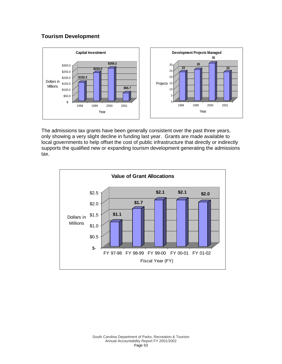# **Tourism Development**



The admissions tax grants have been generally consistent over the past three years, only showing a very slight decline in funding last year. Grants are made available to local governments to help offset the cost of public infrastructure that directly or indirectly supports the qualified new or expanding tourism development generating the admissions tax.

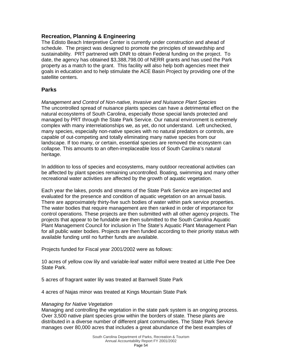# **Recreation, Planning & Engineering**

The Edisto Beach Interpretive Center is currently under construction and ahead of schedule. The project was designed to promote the principles of stewardship and sustainability. PRT partnered with DNR to obtain Federal funding on the project. To date, the agency has obtained \$3,388,798.00 of NERR grants and has used the Park property as a match to the grant. This facility will also help both agencies meet their goals in education and to help stimulate the ACE Basin Project by providing one of the satellite centers.

#### **Parks**

*Management and Control of Non-native, Invasive and Nuisance Plant Species* The uncontrolled spread of nuisance plants species can have a detrimental effect on the natural ecosystems of South Carolina, especially those special lands protected and managed by PRT through the State Park Service. Our natural environment is extremely complex with many interrelationships we, as yet, do not understand. Left unchecked, many species, especially non-native species with no natural predators or controls, are capable of out-competing and totally eliminating many native species from our landscape. If too many, or certain, essential species are removed the ecosystem can collapse. This amounts to an often-irreplaceable loss of South Carolina's natural heritage.

In addition to loss of species and ecosystems, many outdoor recreational activities can be affected by plant species remaining uncontrolled. Boating, swimming and many other recreational water activities are affected by the growth of aquatic vegetation.

Each year the lakes, ponds and streams of the State Park Service are inspected and evaluated for the presence and condition of aquatic vegetation on an annual basis. There are approximately thirty-five such bodies of water within park service properties. The water bodies that require management are then ranked in order of importance for control operations. These projects are then submitted with all other agency projects. The projects that appear to be fundable are then submitted to the South Carolina Aquatic Plant Management Council for inclusion in The State's Aquatic Plant Management Plan for all public water bodies. Projects are then funded according to their priority status with available funding until no further funds are available.

Projects funded for Fiscal year 2001/2002 were as follows:

10 acres of yellow cow lily and variable-leaf water milfoil were treated at Little Pee Dee State Park.

5 acres of fragrant water lily was treated at Barnwell State Park

4 acres of Najas minor was treated at Kings Mountain State Park

#### *Managing for Native Vegetation*

Managing and controlling the vegetation in the state park system is an ongoing process. Over 3,500 native plant species grow within the borders of state. These plants are distributed in a diverse number of different plant communities. The State Park Service manages over 80,000 acres that includes a great abundance of the best examples of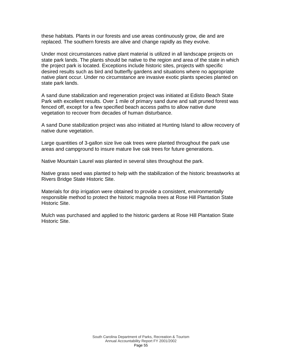these habitats. Plants in our forests and use areas continuously grow, die and are replaced. The southern forests are alive and change rapidly as they evolve.

Under most circumstances native plant material is utilized in all landscape projects on state park lands. The plants should be native to the region and area of the state in which the project park is located. Exceptions include historic sites, projects with specific desired results such as bird and butterfly gardens and situations where no appropriate native plant occur. Under no circumstance are invasive exotic plants species planted on state park lands.

A sand dune stabilization and regeneration project was initiated at Edisto Beach State Park with excellent results. Over 1 mile of primary sand dune and salt pruned forest was fenced off, except for a few specified beach access paths to allow native dune vegetation to recover from decades of human disturbance.

A sand Dune stabilization project was also initiated at Hunting Island to allow recovery of native dune vegetation.

Large quantities of 3-gallon size live oak trees were planted throughout the park use areas and campground to insure mature live oak trees for future generations.

Native Mountain Laurel was planted in several sites throughout the park.

Native grass seed was planted to help with the stabilization of the historic breastworks at Rivers Bridge State Historic Site.

Materials for drip irrigation were obtained to provide a consistent, environmentally responsible method to protect the historic magnolia trees at Rose Hill Plantation State Historic Site.

Mulch was purchased and applied to the historic gardens at Rose Hill Plantation State Historic Site.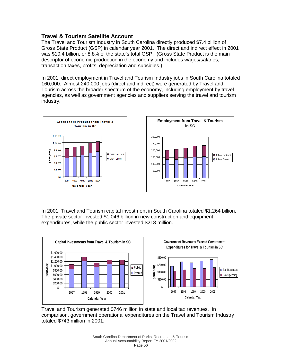# **Travel & Tourism Satellite Account**

The Travel and Tourism Industry in South Carolina directly produced \$7.4 billion of Gross State Product (GSP) in calendar year 2001. The direct and indirect effect in 2001 was \$10.4 billion, or 8.8% of the state's total GSP. (Gross State Product is the main descriptor of economic production in the economy and includes wages/salaries, transaction taxes, profits, depreciation and subsidies.)

In 2001, direct employment in Travel and Tourism Industry jobs in South Carolina totaled 160,000. Almost 240,000 jobs (direct and indirect) were generated by Travel and Tourism across the broader spectrum of the economy, including employment by travel agencies, as well as government agencies and suppliers serving the travel and tourism industry.



In 2001, Travel and Tourism capital investment in South Carolina totaled \$1.264 billion. The private sector invested \$1.046 billion in new construction and equipment expenditures, while the public sector invested \$218 million.



Travel and Tourism generated \$746 million in state and local tax revenues. In comparison, government operational expenditures on the Travel and Tourism Industry totaled \$743 million in 2001.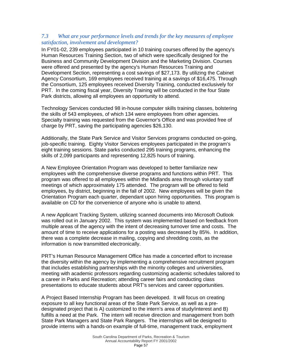# *7.3 What are your performance levels and trends for the key measures of employee satisfaction, involvement and development?*

In FY01-02, 239 employees participated in 10 training courses offered by the agency's Human Resources Training Section, two of which were specifically designed for the Business and Community Development Division and the Marketing Division. Courses were offered and presented by the agency's Human Resources Training and Development Section, representing a cost savings of \$27,173. By utilizing the Cabinet Agency Consortium, 169 employees received training at a savings of \$16,475. Through the Consortium, 125 employees received Diversity Training, conducted exclusively for PRT. In the coming fiscal year, Diversity Training will be conducted in the four State Park districts, allowing all employees an opportunity to attend.

Technology Services conducted 98 in-house computer skills training classes, bolstering the skills of 543 employees, of which 134 were employees from other agencies. Specialty training was requested from the Governor's Office and was provided free of charge by PRT, saving the participating agencies \$26,130.

Additionally, the State Park Service and Visitor Services programs conducted on-going, job-specific training. Eighty Visitor Services employees participated in the program's eight training sessions. State parks conducted 295 training programs, enhancing the skills of 2,099 participants and representing 12,825 hours of training.

A New Employee Orientation Program was developed to better familiarize new employees with the comprehensive diverse programs and functions within PRT. This program was offered to all employees within the Midlands area through voluntary staff meetings of which approximately 175 attended. The program will be offered to field employees, by district, beginning in the fall of 2002. New employees will be given the Orientation Program each quarter, dependant upon hiring opportunities. This program is available on CD for the convenience of anyone who is unable to attend.

A new Applicant Tracking System, utilizing scanned documents into Microsoft Outlook was rolled out in January 2002. This system was implemented based on feedback from multiple areas of the agency with the intent of decreasing turnover time and costs. The amount of time to receive applications for a posting was decreased by 85%. In addition, there was a complete decrease in mailing, copying and shredding costs, as the information is now transmitted electronically.

PRT's Human Resource Management Office has made a concerted effort to increase the diversity within the agency by implementing a comprehensive recruitment program that includes establishing partnerships with the minority colleges and universities, meeting with academic professors regarding customizing academic schedules tailored to a career in Parks and Recreation; attending career fairs and conducting class presentations to educate students about PRT's services and career opportunities.

A Project Based Internship Program has been developed. It will focus on creating exposure to all key functional areas of the State Park Service, as well as a predesignated project that is A) customized to the intern's area of study/interest and B) fulfills a need at the Park. The intern will receive direction and management from both State Park Managers and State Park Rangers. The internships will be designed to provide interns with a hands-on example of full-time, management track, employment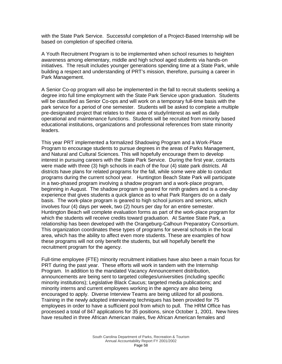with the State Park Service. Successful completion of a Project-Based Internship will be based on completion of specified criteria.

A Youth Recruitment Program is to be implemented when school resumes to heighten awareness among elementary, middle and high school aged students via hands-on initiatives. The result includes younger generations spending time at a State Park, while building a respect and understanding of PRT's mission, therefore, pursuing a career in Park Management.

A Senior Co-op program will also be implemented in the fall to recruit students seeking a degree into full time employment with the State Park Service upon graduation. Students will be classified as Senior Co-ops and will work on a temporary full-time basis with the park service for a period of one semester. Students will be asked to complete a multiple pre-designated project that relates to their area of study/interest as well as daily operational and maintenance functions. Students will be recruited from minority based educational institutions, organizations and professional references from state minority leaders.

This year PRT implemented a formalized Shadowing Program and a Work-Place Program to encourage students to pursue degrees in the areas of Parks Management, and Natural and Cultural Sciences. This will hopefully encourage them to develop interest in pursuing careers with the State Park Service. During the first year, contacts were made with three (3) high schools in each of the four (4) state park districts. All districts have plans for related programs for the fall, while some were able to conduct programs during the current school year. Huntington Beach State Park will participate in a two-phased program involving a shadow program and a work-place program, beginning in August. The shadow program is geared for ninth graders and is a one-day experience that gives students a quick glance as to what Park Rangers do on a daily basis. The work-place program is geared to high school juniors and seniors, which involves four (4) days per week, two (2) hours per day for an entire semester. Huntington Beach will complete evaluation forms as part of the work-place program for which the students will receive credits toward graduation. At Santee State Park, a relationship has been developed with the Orangeburg-Calhoun Preparatory Consortium. This organization coordinates these types of programs for several schools in the local area, which has the ability to affect even more students. These are examples of how these programs will not only benefit the students, but will hopefully benefit the recruitment program for the agency.

Full-time employee (FTE) minority recruitment initiatives have also been a main focus for PRT during the past year. These efforts will work in tandem with the Internship Program. In addition to the mandated Vacancy Announcement distribution, announcements are being sent to targeted colleges/universities (including specific minority institutions); Legislative Black Caucus; targeted media publications; and minority interns and current employees working in the agency are also being encouraged to apply. Diverse Interview Teams are being utilized for all positions. Training in the newly adopted interviewing techniques has been provided for 75 employees in order to have a sufficient pool from which to pull. The HRM Office has processed a total of 847 applications for 35 positions, since October 1, 2001. New hires have resulted in three African American males, five African American females and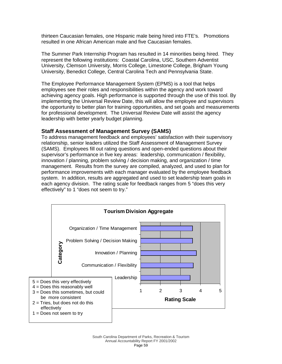thirteen Caucasian females, one Hispanic male being hired into FTE's. Promotions resulted in one African American male and five Caucasian females.

The Summer Park Internship Program has resulted in 14 minorities being hired. They represent the following institutions: Coastal Carolina, USC, Southern Adventist University, Clemson University, Morris College, Limestone College, Brigham Young University, Benedict College, Central Carolina Tech and Pennsylvania State.

The Employee Performance Management System (EPMS) is a tool that helps employees see their roles and responsibilities within the agency and work toward achieving agency goals. High performance is supported through the use of this tool. By implementing the Universal Review Date, this will allow the employee and supervisors the opportunity to better plan for training opportunities, and set goals and measurements for professional development. The Universal Review Date will assist the agency leadership with better yearly budget planning.

# **Staff Assessment of Management Survey (SAMS)**

To address management feedback and employees' satisfaction with their supervisory relationship, senior leaders utilized the Staff Assessment of Management Survey (SAMS). Employees fill out rating questions and open-ended questions about their supervisor's performance in five key areas: leadership, communication / flexibility, innovation / planning, problem solving / decision making, and organization / time management. Results from the survey are compiled, analyzed, and used to plan for performance improvements with each manager evaluated by the employee feedback system. In addition, results are aggregated and used to set leadership team goals in each agency division. The rating scale for feedback ranges from 5 "does this very effectively" to 1 "does not seem to try."

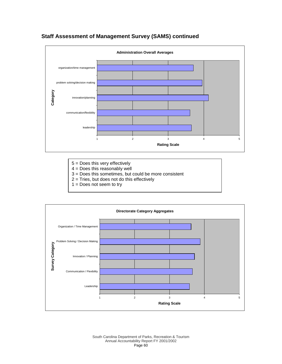

# **Staff Assessment of Management Survey (SAMS) continued**

- 5 = Does this very effectively
- 4 = Does this reasonably well
- 3 = Does this sometimes, but could be more consistent
- 2 = Tries, but does not do this effectively
- $1 = Does not seem to try$

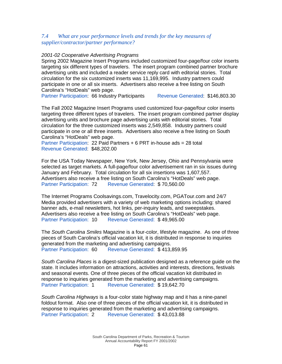# *7.4 What are your performance levels and trends for the key measures of supplier/contractor/partner performance?*

#### *2001-02 Cooperative Advertising Programs*

Spring 2002 Magazine Insert Programs included customized four-page/four color inserts targeting six different types of travelers. The insert program combined partner brochure advertising units and included a reader service reply card with editorial stories. Total circulation for the six customized inserts was 11,169,995. Industry partners could participate in one or all six inserts. Advertisers also receive a free listing on South Carolina's "HotDeals" web page.

Partner Participation: 66 Industry Participants Revenue Generated: \$146,803.30

The Fall 2002 Magazine Insert Programs used customized four-page/four color inserts targeting three different types of travelers. The insert program combined partner display advertising units and brochure page advertising units with editorial stories. Total circulation for the three customized inserts was 2,549,858. Industry partners could participate in one or all three inserts. Advertisers also receive a free listing on South Carolina's "HotDeals" web page.

Partner Participation: 22 Paid Partners + 6 PRT in-house ads = 28 total Revenue Generated: \$48,202.00

For the USA Today Newspaper, New York, New Jersey, Ohio and Pennsylvania were selected as target markets. A full-page/four color advertisement ran in six issues during January and February. Total circulation for all six insertions was 1,607,557. Advertisers also receive a free listing on South Carolina's "HotDeals" web page. Partner Participation: 72 Revenue Generated: \$ 70,560.00

The Internet Programs Coolsavings.com, Travelocity.com, PGATour.com and 24/7 Media provided advertisers with a variety of web marketing options including: shared banner ads, e-mail newsletters, hot links, per-inquiry leads, and sweepstakes. Advertisers also receive a free listing on South Carolina's "HotDeals" web page. Partner Participation: 10 Revenue Generated: \$ 49,965.00

The *South Carolina Smiles* Magazine is a four-color, lifestyle magazine. As one of three pieces of South Carolina's official vacation kit, it is distributed in response to inquiries generated from the marketing and advertising campaigns. Partner Participation: 60 Revenue Generated: \$413,859.95

*South Carolina Places* is a digest-sized publication designed as a reference guide on the state. It includes information on attractions, activities and interests, directions, festivals and seasonal events. One of three pieces of the official vacation kit distributed in response to inquiries generated from the marketing and advertising campaigns. Partner Participation: 1 Revenue Generated: \$19,642.70

*South Carolina Highways* is a four-color state highway map and it has a nine-panel foldout format. Also one of three pieces of the official vacation kit, it is distributed in response to inquiries generated from the marketing and advertising campaigns. Partner Participation: 2 Revenue Generated: \$ 43,013.88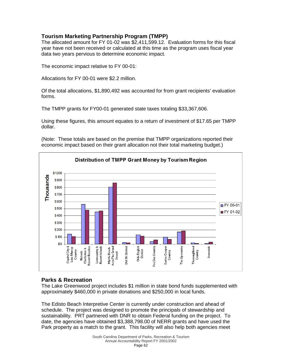# **Tourism Marketing Partnership Program (TMPP)**

The allocated amount for FY 01-02 was \$2,411,599.12. Evaluation forms for this fiscal year have not been received or calculated at this time as the program uses fiscal year data two years pervious to determine economic impact.

The economic impact relative to FY 00-01:

Allocations for FY 00-01 were \$2.2 million.

Of the total allocations, \$1,890,492 was accounted for from grant recipients' evaluation forms.

The TMPP grants for FY00-01 generated state taxes totaling \$33,367,606.

Using these figures, this amount equates to a return of investment of \$17.65 per TMPP dollar.

(Note: These totals are based on the premise that TMPP organizations reported their economic impact based on their grant allocation not their total marketing budget.)



# **Parks & Recreation**

The Lake Greenwood project includes \$1 million in state bond funds supplemented with approximately \$460,000 in private donations and \$250,000 in local funds.

The Edisto Beach Interpretive Center is currently under construction and ahead of schedule. The project was designed to promote the principals of stewardship and sustainability. PRT partnered with DNR to obtain Federal funding on the project. To date, the agencies have obtained \$3,388,798.00 of NERR grants and have used the Park property as a match to the grant. This facility will also help both agencies meet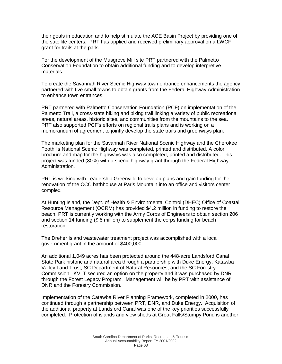their goals in education and to help stimulate the ACE Basin Project by providing one of the satellite centers. PRT has applied and received preliminary approval on a LWCF grant for trails at the park.

For the development of the Musgrove Mill site PRT partnered with the Palmetto Conservation Foundation to obtain additional funding and to develop interpretive materials.

To create the Savannah River Scenic Highway town entrance enhancements the agency partnered with five small towns to obtain grants from the Federal Highway Administration to enhance town entrances.

PRT partnered with Palmetto Conservation Foundation (PCF) on implementation of the Palmetto Trail, a cross-state hiking and biking trail linking a variety of public recreational areas, natural areas, historic sites, and communities from the mountains to the sea. PRT also supported PCF's efforts on regional trails plans and is working on a memorandum of agreement to jointly develop the state trails and greenways plan.

The marketing plan for the Savannah River National Scenic Highway and the Cherokee Foothills National Scenic Highway was completed, printed and distributed. A color brochure and map for the highways was also completed, printed and distributed. This project was funded (80%) with a scenic highway grant through the Federal Highway Administration.

PRT is working with Leadership Greenville to develop plans and gain funding for the renovation of the CCC bathhouse at Paris Mountain into an office and visitors center complex.

At Hunting Island, the Dept. of Health & Environmental Control (DHEC) Office of Coastal Resource Management (OCRM) has provided \$4.2 million in funding to restore the beach. PRT is currently working with the Army Corps of Engineers to obtain section 206 and section 14 funding (\$ 5 million) to supplement the corps funding for beach restoration.

The Dreher Island wastewater treatment project was accomplished with a local government grant in the amount of \$400,000.

An additional 1,049 acres has been protected around the 448-acre Landsford Canal State Park historic and natural area through a partnership with Duke Energy, Katawba Valley Land Trust, SC Department of Natural Resources, and the SC Forestry Commission. KVLT secured an option on the property and it was purchased by DNR through the Forest Legacy Program. Management will be by PRT with assistance of DNR and the Forestry Commission.

Implementation of the Catawba River Planning Framework, completed in 2000, has continued through a partnership between PRT, DNR, and Duke Energy. Acquisition of the additional property at Landsford Canal was one of the key priorities successfully completed. Protection of islands and view sheds at Great Falls/Stumpy Pond is another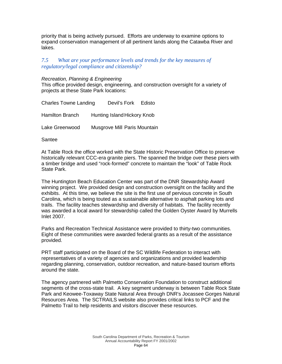priority that is being actively pursued. Efforts are underway to examine options to expand conservation management of all pertinent lands along the Catawba River and lakes.

#### *7.5 What are your performance levels and trends for the key measures of regulatory/legal compliance and citizenship?*

#### *Recreation, Planning & Engineering*

This office provided design, engineering, and construction oversight for a variety of projects at these State Park locations:

| <b>Charles Towne Landing</b> | Devil's Fork Edisto          |  |
|------------------------------|------------------------------|--|
| <b>Hamilton Branch</b>       | Hunting Island Hickory Knob  |  |
| Lake Greenwood               | Musgrove Mill Paris Mountain |  |

Santee

At Table Rock the office worked with the State Historic Preservation Office to preserve historically relevant CCC-era granite piers. The spanned the bridge over these piers with a timber bridge and used "rock-formed" concrete to maintain the "look" of Table Rock State Park.

The Huntington Beach Education Center was part of the DNR Stewardship Award winning project. We provided design and construction oversight on the facility and the exhibits. At this time, we believe the site is the first use of pervious concrete in South Carolina, which is being touted as a sustainable alternative to asphalt parking lots and trails. The facility teaches stewardship and diversity of habitats. The facility recently was awarded a local award for stewardship called the Golden Oyster Award by Murrells Inlet 2007.

Parks and Recreation Technical Assistance were provided to thirty-two communities. Eight of these communities were awarded federal grants as a result of the assistance provided.

PRT staff participated on the Board of the SC Wildlife Federation to interact with representatives of a variety of agencies and organizations and provided leadership regarding planning, conservation, outdoor recreation, and nature-based tourism efforts around the state.

The agency partnered with Palmetto Conservation Foundation to construct additional segments of the cross-state trail. A key segment underway is between Table Rock State Park and Keowee-Toxaway State Natural Area through DNR's Jocassee Gorges Natural Resources Area. The SCTRAILS website also provides critical links to PCF and the Palmetto Trail to help residents and visitors discover these resources.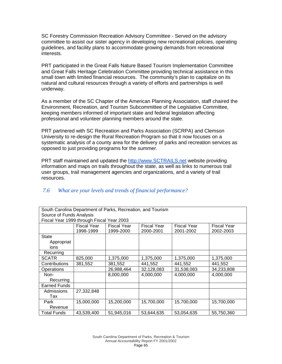SC Forestry Commission Recreation Advisory Committee - Served on the advisory committee to assist our sister agency in developing new recreational policies, operating guidelines, and facility plans to accommodate growing demands from recreational interests.

PRT participated in the Great Falls Nature Based Tourism Implementation Committee and Great Falls Heritage Celebration Committee providing technical assistance in this small town with limited financial resources. The community's plan to capitalize on its natural and cultural resources through a variety of efforts and partnerships is well underway.

As a member of the SC Chapter of the American Planning Association, staff chaired the Environment, Recreation, and Tourism Subcommittee of the Legislative Committee, keeping members informed of important state and federal legislation affecting professional and volunteer planning members around the state.

PRT partnered with SC Recreation and Parks Association (SCRPA) and Clemson University to re-design the Rural Recreation Program so that it now focuses on a systematic analysis of a county area for the delivery of parks and recreation services as opposed to just providing programs for the summer.

PRT staff maintained and updated the http://www.SCTRAILS.net website providing information and maps on trails throughout the state, as well as links to numerous trail user groups, trail management agencies and organizations, and a variety of trail resources.

| South Carolina Department of Parks, Recreation, and Tourism<br>Source of Funds Analysis<br>Fiscal Year 1999 through Fiscal Year 2003 |                    |                    |             |                    |                    |  |  |  |  |
|--------------------------------------------------------------------------------------------------------------------------------------|--------------------|--------------------|-------------|--------------------|--------------------|--|--|--|--|
|                                                                                                                                      | <b>Fiscal Year</b> | <b>Fiscal Year</b> | Fiscal Year | <b>Fiscal Year</b> | <b>Fiscal Year</b> |  |  |  |  |
|                                                                                                                                      | 1998-1999          | 1999-2000          | 2000-2001   | 2001-2002          | 2002-2003          |  |  |  |  |
| <b>State</b>                                                                                                                         |                    |                    |             |                    |                    |  |  |  |  |
| Appropriat                                                                                                                           |                    |                    |             |                    |                    |  |  |  |  |
| ions                                                                                                                                 |                    |                    |             |                    |                    |  |  |  |  |
| Recurring                                                                                                                            |                    |                    |             |                    |                    |  |  |  |  |
| SCATR                                                                                                                                | 825,000            | 1,375,000          | 1,375,000   | 1,375,000          | 1,375,000          |  |  |  |  |
| Contributions                                                                                                                        | 381,552            | 381,552            | 441,552     | 441,552            | 441,552            |  |  |  |  |
| Operations                                                                                                                           |                    | 26,988,464         | 32,128,083  | 31,538,083         | 34,233,808         |  |  |  |  |
| Non-                                                                                                                                 |                    | 8,000,000          | 4,000,000   | 4,000,000          | 4,000,000          |  |  |  |  |
| Recurring                                                                                                                            |                    |                    |             |                    |                    |  |  |  |  |
| <b>Earned Funds</b>                                                                                                                  |                    |                    |             |                    |                    |  |  |  |  |
| Admissions                                                                                                                           | 27,332,848         |                    |             |                    |                    |  |  |  |  |
| Tax                                                                                                                                  |                    |                    |             |                    |                    |  |  |  |  |
| Park                                                                                                                                 | 15,000,000         | 15,200,000         | 15,700,000  | 15,700,000         | 15,700,000         |  |  |  |  |
| Revenue                                                                                                                              |                    |                    |             |                    |                    |  |  |  |  |
| Total Funds                                                                                                                          | 43.539.400         | 51.945.016         | 53,644,635  | 53,054,635         | 55,750,360         |  |  |  |  |

# *7.6 What are your levels and trends of financial performance?*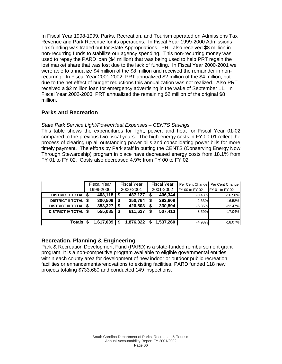In Fiscal Year 1998-1999, Parks, Recreation, and Tourism operated on Admissions Tax Revenue and Park Revenue for its operations. In Fiscal Year 1999-2000 Admissions Tax funding was traded out for State Appropriations. PRT also received \$8 million in non-recurring funds to stabilize our agency spending. This non-recurring money was used to repay the PARD loan (\$4 million) that was being used to help PRT regain the lost market share that was lost due to the lack of funding. In Fiscal Year 2000-2001 we were able to annualize \$4 million of the \$8 million and received the remainder in nonrecurring. In Fiscal Year 2001-2002, PRT annualized \$2 million of the \$4 million, but due to the net effect of budget reductions this annualization was not realized. Also PRT received a \$2 million loan for emergency advertising in the wake of September 11. In Fiscal Year 2002-2003, PRT annualized the remaining \$2 million of the original \$8 million.

# **Parks and Recreation**

#### *State Park Service Light/Power/Heat Expenses – CENTS Savings*

This table shows the expenditures for light, power, and heat for Fiscal Year 01-02 compared to the previous two fiscal years. The high-energy costs in FY 00-01 reflect the process of clearing up all outstanding power bills and consolidating power bills for more timely payment. The efforts by Park staff in putting the CENTS (Conserving Energy Now Through Stewardship) program in place have decreased energy costs from 18.1% from FY 01 to FY 02. Costs also decreased 4.9% from FY 00 to FY 02.

|                                | <b>Fiscal Year</b><br>1999-2000 | <b>Fiscal Year</b><br>2000-2001 | <b>Fiscal Year</b><br>2001-2002 | Per Cent Change Per Cent Change<br>FY 00 to FY 02 | FY 01 to FY 02 |
|--------------------------------|---------------------------------|---------------------------------|---------------------------------|---------------------------------------------------|----------------|
| <b>DISTRICT I TOTAL   \$</b>   | 408,118                         | 487,127                         | 406,344                         | $-0.43%$                                          | $-16.58%$      |
| <b>DISTRICT II TOTAL   \$</b>  | 300,509                         | 350,764                         | 292,609                         | $-2.63%$                                          | $-16.58%$      |
| <b>DISTRICT III TOTAL   \$</b> | 353,327                         | 426,803                         | 330,894                         | $-6.35%$                                          | $-22.47%$      |
| <b>DISTRICT IV TOTALI \$</b>   | 555,085                         | 611,627                         | 507,413                         | $-8.59%$                                          | $-17.04%$      |
|                                |                                 |                                 |                                 |                                                   |                |
| <b>Totals</b>                  | 1,617,039                       | 1,876,322                       | 1,537,260                       | $-4.93%$                                          | $-18.07%$      |

# **Recreation, Planning & Engineering**

Park & Recreation Development Fund (PARD) is a state-funded reimbursement grant program. It is a non-competitive program available to eligible governmental entities within each county area for development of new indoor or outdoor public recreation facilities or enhancements/renovations to existing facilities. PARD funded 118 new projects totaling \$733,680 and conducted 149 inspections.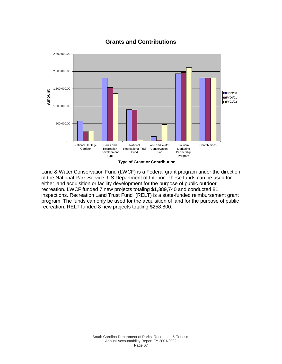

# **Grants and Contributions**

Land & Water Conservation Fund (LWCF) is a Federal grant program under the direction of the National Park Service, US Department of Interior. These funds can be used for either land acquisition or facility development for the purpose of public outdoor recreation. LWCF funded 7 new projects totaling \$1,389,740 and conducted 81 inspections. Recreation Land Trust Fund (RELT) is a state-funded reimbursement grant program. The funds can only be used for the acquisition of land for the purpose of public recreation. RELT funded 8 new projects totaling \$258,800.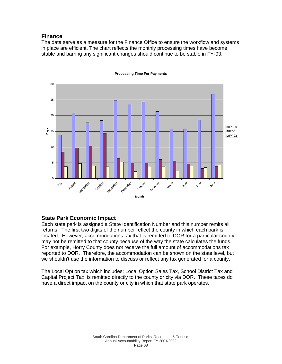# **Finance**

The data serve as a measure for the Finance Office to ensure the workflow and systems in place are efficient. The chart reflects the monthly processing times have become stable and barring any significant changes should continue to be stable in FY-03.



#### **Processing Time For Payments**

#### **State Park Economic Impact**

Each state park is assigned a State Identification Number and this number remits all returns. The first two digits of the number reflect the county in which each park is located. However, accommodations tax that is remitted to DOR for a particular county may not be remitted to that county because of the way the state calculates the funds. For example, Horry County does not receive the full amount of accommodations tax reported to DOR. Therefore, the accommodation can be shown on the state level, but we shouldn't use the information to discuss or reflect any tax generated for a county.

The Local Option tax which includes; Local Option Sales Tax, School District Tax and Capital Project Tax, is remitted directly to the county or city via DOR. These taxes do have a direct impact on the county or city in which that state park operates.